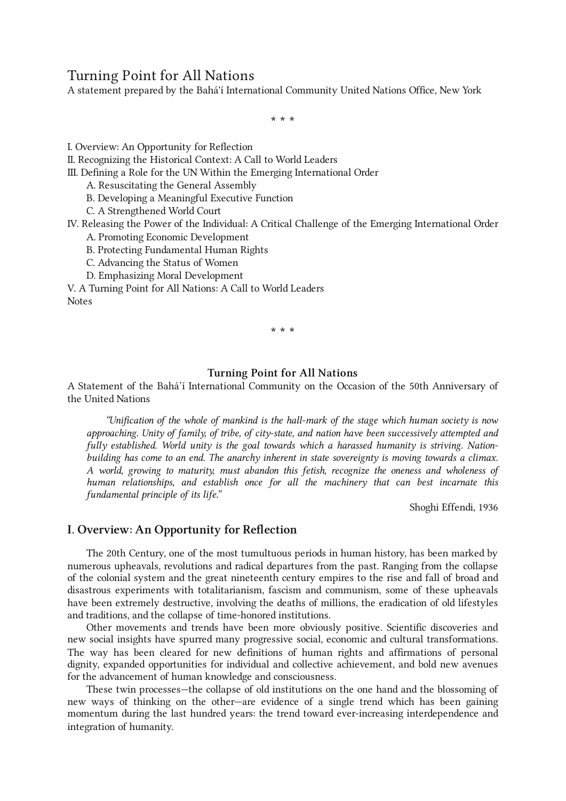# Turning Point for All Nations

A statement prepared by the Bahá'í International Community United Nations Office, New York

\* \* \*

I. Overview: An [Opportunity](#page-0-0) for Reflection

II. [Recognizing](#page-2-0) the Historical Context: A Call to World Leaders

III. Defining a Role for the UN Within the Emerging [International](#page-4-0) Order

A. [Resuscitating](#page-5-0) the General Assembly

B. Developing a [Meaningful](#page-6-0) Executive Function

C. A [Strengthened](#page-7-0) World Court

IV. Releasing the Power of the Individual: A Critical Challenge of the Emerging [International](#page-8-0) Order

A. Promoting Economic [Development](#page-9-0)

B. Protecting [Fundamental](#page-10-0) Human Rights

C. [Advancing](#page-12-0) the Status of Women

D. Emphasizing Moral [Development](#page-13-0)

V. A Turning Point for All [Nations:](#page-14-0) A Call to World Leaders [Notes](#page-16-0)

\* \* \*

### Turning Point for All Nations

A Statement of the Bahá'í International Community on the Occasion of the 50th Anniversary of the United Nations

"Unification of the whole of mankind is the hall-mark of the stage which human society is now approaching. Unity of family, of tribe, of city-state, and nation have been successively attempted and fully established. World unity is the goal towards which a harassed humanity is striving. Nationbuilding has come to an end. The anarchy inherent in state sovereignty is moving towards a climax. A world, growing to maturity, must abandon this fetish, recognize the oneness and wholeness of human relationships, and establish once for all the machinery that can best incarnate this fundamental principle of its life."

Shoghi Effendi, 1936

# <span id="page-0-0"></span>I. Overview: An Opportunity for Reflection

The 20th Century, one of the most tumultuous periods in human history, has been marked by numerous upheavals, revolutions and radical departures from the past. Ranging from the collapse of the colonial system and the great nineteenth century empires to the rise and fall of broad and disastrous experiments with totalitarianism, fascism and communism, some of these upheavals have been extremely destructive, involving the deaths of millions, the eradication of old lifestyles and traditions, and the collapse of time-honored institutions.

Other movements and trends have been more obviously positive. Scientific discoveries and new social insights have spurred many progressive social, economic and cultural transformations. The way has been cleared for new definitions of human rights and affirmations of personal dignity, expanded opportunities for individual and collective achievement, and bold new avenues for the advancement of human knowledge and consciousness.

These twin processes—the collapse of old institutions on the one hand and the blossoming of new ways of thinking on the other—are evidence of a single trend which has been gaining momentum during the last hundred years: the trend toward ever-increasing interdependence and integration of humanity.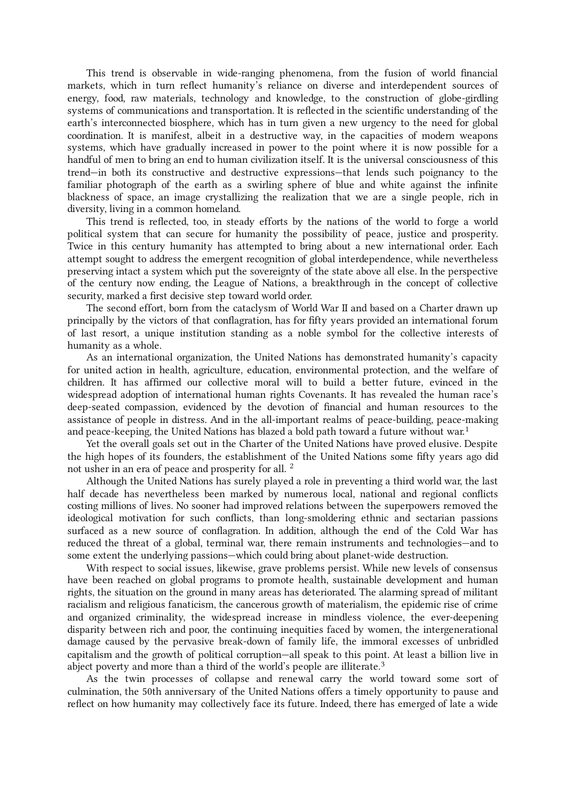This trend is observable in wide-ranging phenomena, from the fusion of world financial markets, which in turn reflect humanity's reliance on diverse and interdependent sources of energy, food, raw materials, technology and knowledge, to the construction of globe-girdling systems of communications and transportation. It is reflected in the scientific understanding of the earth's interconnected biosphere, which has in turn given a new urgency to the need for global coordination. It is manifest, albeit in a destructive way, in the capacities of modern weapons systems, which have gradually increased in power to the point where it is now possible for a handful of men to bring an end to human civilization itself. It is the universal consciousness of this trend—in both its constructive and destructive expressions—that lends such poignancy to the familiar photograph of the earth as a swirling sphere of blue and white against the infinite blackness of space, an image crystallizing the realization that we are a single people, rich in diversity, living in a common homeland.

This trend is reflected, too, in steady efforts by the nations of the world to forge a world political system that can secure for humanity the possibility of peace, justice and prosperity. Twice in this century humanity has attempted to bring about a new international order. Each attempt sought to address the emergent recognition of global interdependence, while nevertheless preserving intact a system which put the sovereignty of the state above all else. In the perspective of the century now ending, the League of Nations, a breakthrough in the concept of collective security, marked a first decisive step toward world order.

The second effort, born from the cataclysm of World War II and based on a Charter drawn up principally by the victors of that conflagration, has for fifty years provided an international forum of last resort, a unique institution standing as a noble symbol for the collective interests of humanity as a whole.

<span id="page-1-0"></span>As an international organization, the United Nations has demonstrated humanity's capacity for united action in health, agriculture, education, environmental protection, and the welfare of children. It has affirmed our collective moral will to build a better future, evinced in the widespread adoption of international human rights Covenants. It has revealed the human race's deep-seated compassion, evidenced by the devotion of financial and human resources to the assistance of people in distress. And in the all-important realms of peace-building, peace-making and peace-keeping, the United Nations has blazed a bold path toward a future without war. $^1$  $^1$ 

<span id="page-1-1"></span>Yet the overall goals set out in the Charter of the United Nations have proved elusive. Despite the high hopes of its founders, the establishment of the United Nations some fifty years ago did not usher in an era of peace and prosperity for all.  $^2$  $^2$ 

Although the United Nations has surely played a role in preventing a third world war, the last half decade has nevertheless been marked by numerous local, national and regional conflicts costing millions of lives. No sooner had improved relations between the superpowers removed the ideological motivation for such conflicts, than long-smoldering ethnic and sectarian passions surfaced as a new source of conflagration. In addition, although the end of the Cold War has reduced the threat of a global, terminal war, there remain instruments and technologies—and to some extent the underlying passions—which could bring about planet-wide destruction.

<span id="page-1-2"></span>With respect to social issues, likewise, grave problems persist. While new levels of consensus have been reached on global programs to promote health, sustainable development and human rights, the situation on the ground in many areas has deteriorated. The alarming spread of militant racialism and religious fanaticism, the cancerous growth of materialism, the epidemic rise of crime and organized criminality, the widespread increase in mindless violence, the ever-deepening disparity between rich and poor, the continuing inequities faced by women, the intergenerational damage caused by the pervasive break-down of family life, the immoral excesses of unbridled capitalism and the growth of political corruption—all speak to this point. At least a billion live in abject poverty and more than a third of the world's people are illiterate. $^3$  $^3$ 

As the twin processes of collapse and renewal carry the world toward some sort of culmination, the 50th anniversary of the United Nations offers a timely opportunity to pause and reflect on how humanity may collectively face its future. Indeed, there has emerged of late a wide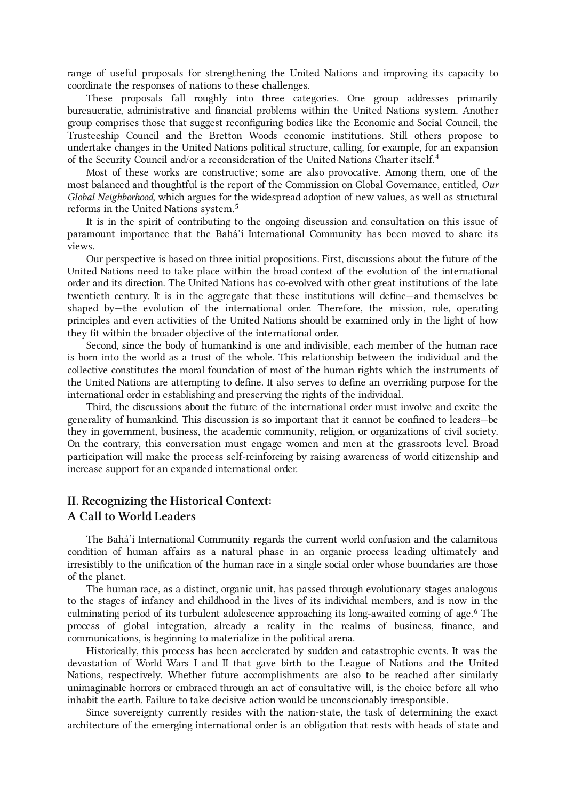range of useful proposals for strengthening the United Nations and improving its capacity to coordinate the responses of nations to these challenges.

<span id="page-2-1"></span>These proposals fall roughly into three categories. One group addresses primarily bureaucratic, administrative and financial problems within the United Nations system. Another group comprises those that suggest reconfiguring bodies like the Economic and Social Council, the Trusteeship Council and the Bretton Woods economic institutions. Still others propose to undertake changes in the United Nations political structure, calling, for example, for an expansion of the Security Council and/or a reconsideration of the United Nations Charter itself. [4](#page-16-4)

<span id="page-2-2"></span>Most of these works are constructive; some are also provocative. Among them, one of the most balanced and thoughtful is the report of the Commission on Global Governance, entitled, Our Global Neighborhood, which argues for the widespread adoption of new values, as well as structural reforms in the United Nations system. [5](#page-17-0)

It is in the spirit of contributing to the ongoing discussion and consultation on this issue of paramount importance that the Bahá'í International Community has been moved to share its views.

Our perspective is based on three initial propositions. First, discussions about the future of the United Nations need to take place within the broad context of the evolution of the international order and its direction. The United Nations has co-evolved with other great institutions of the late twentieth century. It is in the aggregate that these institutions will define—and themselves be shaped by—the evolution of the international order. Therefore, the mission, role, operating principles and even activities of the United Nations should be examined only in the light of how they fit within the broader objective of the international order.

Second, since the body of humankind is one and indivisible, each member of the human race is born into the world as a trust of the whole. This relationship between the individual and the collective constitutes the moral foundation of most of the human rights which the instruments of the United Nations are attempting to define. It also serves to define an overriding purpose for the international order in establishing and preserving the rights of the individual.

Third, the discussions about the future of the international order must involve and excite the generality of humankind. This discussion is so important that it cannot be confined to leaders—be they in government, business, the academic community, religion, or organizations of civil society. On the contrary, this conversation must engage women and men at the grassroots level. Broad participation will make the process self-reinforcing by raising awareness of world citizenship and increase support for an expanded international order.

# <span id="page-2-0"></span>II. Recognizing the Historical Context: A Call to World Leaders

The Bahá'í International Community regards the current world confusion and the calamitous condition of human affairs as a natural phase in an organic process leading ultimately and irresistibly to the unification of the human race in a single social order whose boundaries are those of the planet.

<span id="page-2-3"></span>The human race, as a distinct, organic unit, has passed through evolutionary stages analogous to the stages of infancy and childhood in the lives of its individual members, and is now in the culminating period of its turbulent adolescence approaching its long-awaited coming of age. [6](#page-17-1) The process of global integration, already a reality in the realms of business, finance, and communications, is beginning to materialize in the political arena.

Historically, this process has been accelerated by sudden and catastrophic events. It was the devastation of World Wars I and II that gave birth to the League of Nations and the United Nations, respectively. Whether future accomplishments are also to be reached after similarly unimaginable horrors or embraced through an act of consultative will, is the choice before all who inhabit the earth. Failure to take decisive action would be unconscionably irresponsible.

<span id="page-2-4"></span>Since sovereignty currently resides with the nation-state, the task of determining the exact architecture of the emerging international order is an obligation that rests with heads of state and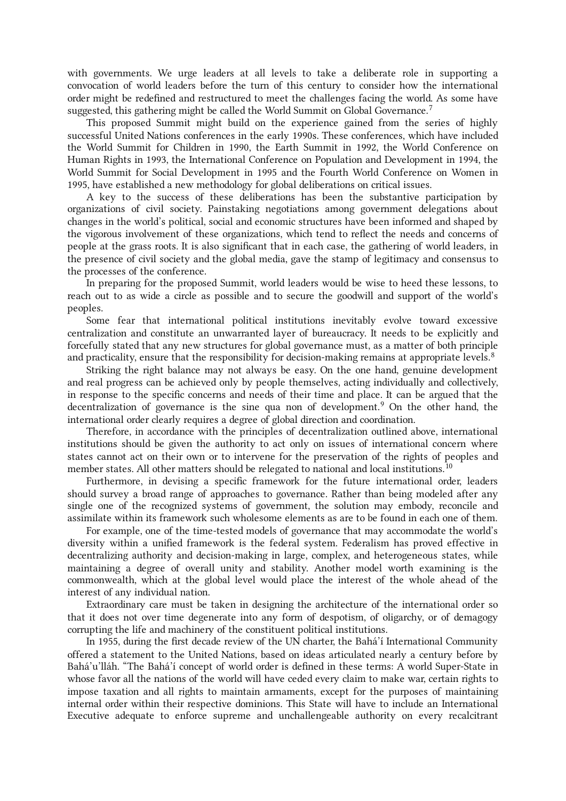with governments. We urge leaders at all levels to take a deliberate role in supporting a convocation of world leaders before the turn of this century to consider how the international order might be redefined and restructured to meet the challenges facing the world. As some have suggested, this gathering might be called the World Summit on Global Governance.<sup>[7](#page-17-2)</sup>

This proposed Summit might build on the experience gained from the series of highly successful United Nations conferences in the early 1990s. These conferences, which have included the World Summit for Children in 1990, the Earth Summit in 1992, the World Conference on Human Rights in 1993, the International Conference on Population and Development in 1994, the World Summit for Social Development in 1995 and the Fourth World Conference on Women in 1995, have established a new methodology for global deliberations on critical issues.

A key to the success of these deliberations has been the substantive participation by organizations of civil society. Painstaking negotiations among government delegations about changes in the world's political, social and economic structures have been informed and shaped by the vigorous involvement of these organizations, which tend to reflect the needs and concerns of people at the grass roots. It is also significant that in each case, the gathering of world leaders, in the presence of civil society and the global media, gave the stamp of legitimacy and consensus to the processes of the conference.

In preparing for the proposed Summit, world leaders would be wise to heed these lessons, to reach out to as wide a circle as possible and to secure the goodwill and support of the world's peoples.

<span id="page-3-0"></span>Some fear that international political institutions inevitably evolve toward excessive centralization and constitute an unwarranted layer of bureaucracy. It needs to be explicitly and forcefully stated that any new structures for global governance must, as a matter of both principle and practicality, ensure that the responsibility for decision-making remains at appropriate levels.<sup>[8](#page-17-3)</sup>

<span id="page-3-1"></span>Striking the right balance may not always be easy. On the one hand, genuine development and real progress can be achieved only by people themselves, acting individually and collectively, in response to the specific concerns and needs of their time and place. It can be argued that the decentralization of governance is the sine qua non of development. [9](#page-18-0) On the other hand, the international order clearly requires a degree of global direction and coordination.

<span id="page-3-2"></span>Therefore, in accordance with the principles of decentralization outlined above, international institutions should be given the authority to act only on issues of international concern where states cannot act on their own or to intervene for the preservation of the rights of peoples and member states. All other matters should be relegated to national and local institutions. $^{10}$  $^{10}$  $^{10}$ 

Furthermore, in devising a specific framework for the future international order, leaders should survey a broad range of approaches to governance. Rather than being modeled after any single one of the recognized systems of government, the solution may embody, reconcile and assimilate within its framework such wholesome elements as are to be found in each one of them.

For example, one of the time-tested models of governance that may accommodate the world's diversity within a unified framework is the federal system. Federalism has proved effective in decentralizing authority and decision-making in large, complex, and heterogeneous states, while maintaining a degree of overall unity and stability. Another model worth examining is the commonwealth, which at the global level would place the interest of the whole ahead of the interest of any individual nation.

Extraordinary care must be taken in designing the architecture of the international order so that it does not over time degenerate into any form of despotism, of oligarchy, or of demagogy corrupting the life and machinery of the constituent political institutions.

<span id="page-3-3"></span>In 1955, during the first decade review of the UN charter, the Bahá'í International Community offered a statement to the United Nations, based on ideas articulated nearly a century before by Bahá'u'lláh. "The Bahá'í concept of world order is defined in these terms: A world Super-State in whose favor all the nations of the world will have ceded every claim to make war, certain rights to impose taxation and all rights to maintain armaments, except for the purposes of maintaining internal order within their respective dominions. This State will have to include an International Executive adequate to enforce supreme and unchallengeable authority on every recalcitrant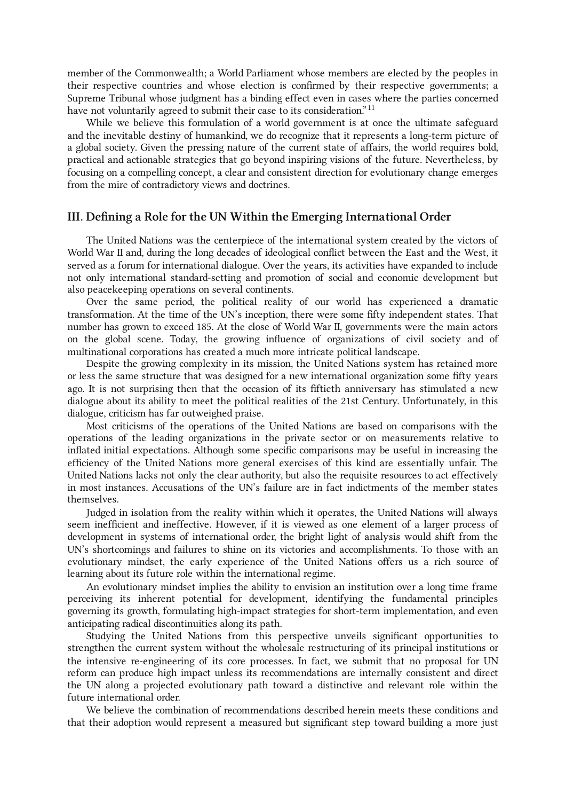member of the Commonwealth; a World Parliament whose members are elected by the peoples in their respective countries and whose election is confirmed by their respective governments; a Supreme Tribunal whose judgment has a binding effect even in cases where the parties concerned have not voluntarily agreed to submit their case to its consideration."<sup>[11](#page-18-2)</sup>

While we believe this formulation of a world government is at once the ultimate safeguard and the inevitable destiny of humankind, we do recognize that it represents a long-term picture of a global society. Given the pressing nature of the current state of affairs, the world requires bold, practical and actionable strategies that go beyond inspiring visions of the future. Nevertheless, by focusing on a compelling concept, a clear and consistent direction for evolutionary change emerges from the mire of contradictory views and doctrines.

# <span id="page-4-0"></span>III. Defining a Role for the UN Within the Emerging International Order

The United Nations was the centerpiece of the international system created by the victors of World War II and, during the long decades of ideological conflict between the East and the West, it served as a forum for international dialogue. Over the years, its activities have expanded to include not only international standard-setting and promotion of social and economic development but also peacekeeping operations on several continents.

Over the same period, the political reality of our world has experienced a dramatic transformation. At the time of the UN's inception, there were some fifty independent states. That number has grown to exceed 185. At the close of World War II, governments were the main actors on the global scene. Today, the growing influence of organizations of civil society and of multinational corporations has created a much more intricate political landscape.

Despite the growing complexity in its mission, the United Nations system has retained more or less the same structure that was designed for a new international organization some fifty years ago. It is not surprising then that the occasion of its fiftieth anniversary has stimulated a new dialogue about its ability to meet the political realities of the 21st Century. Unfortunately, in this dialogue, criticism has far outweighed praise.

Most criticisms of the operations of the United Nations are based on comparisons with the operations of the leading organizations in the private sector or on measurements relative to inflated initial expectations. Although some specific comparisons may be useful in increasing the efficiency of the United Nations more general exercises of this kind are essentially unfair. The United Nations lacks not only the clear authority, but also the requisite resources to act effectively in most instances. Accusations of the UN's failure are in fact indictments of the member states themselves.

Judged in isolation from the reality within which it operates, the United Nations will always seem inefficient and ineffective. However, if it is viewed as one element of a larger process of development in systems of international order, the bright light of analysis would shift from the UN's shortcomings and failures to shine on its victories and accomplishments. To those with an evolutionary mindset, the early experience of the United Nations offers us a rich source of learning about its future role within the international regime.

An evolutionary mindset implies the ability to envision an institution over a long time frame perceiving its inherent potential for development, identifying the fundamental principles governing its growth, formulating high-impact strategies for short-term implementation, and even anticipating radical discontinuities along its path.

Studying the United Nations from this perspective unveils significant opportunities to strengthen the current system without the wholesale restructuring of its principal institutions or the intensive re-engineering of its core processes. In fact, we submit that no proposal for UN reform can produce high impact unless its recommendations are internally consistent and direct the UN along a projected evolutionary path toward a distinctive and relevant role within the future international order.

<span id="page-4-1"></span>We believe the combination of recommendations described herein meets these conditions and that their adoption would represent a measured but significant step toward building a more just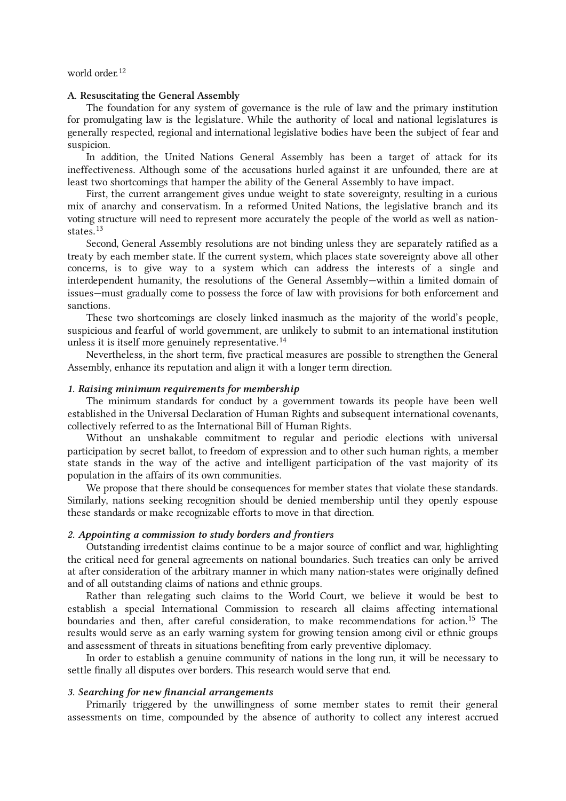### world order. [12](#page-18-3)

### <span id="page-5-0"></span>A. Resuscitating the General Assembly

The foundation for any system of governance is the rule of law and the primary institution for promulgating law is the legislature. While the authority of local and national legislatures is generally respected, regional and international legislative bodies have been the subject of fear and suspicion.

In addition, the United Nations General Assembly has been a target of attack for its ineffectiveness. Although some of the accusations hurled against it are unfounded, there are at least two shortcomings that hamper the ability of the General Assembly to have impact.

<span id="page-5-1"></span>First, the current arrangement gives undue weight to state sovereignty, resulting in a curious mix of anarchy and conservatism. In a reformed United Nations, the legislative branch and its voting structure will need to represent more accurately the people of the world as well as nationstates. [13](#page-18-4)

Second, General Assembly resolutions are not binding unless they are separately ratified as a treaty by each member state. If the current system, which places state sovereignty above all other concerns, is to give way to a system which can address the interests of a single and interdependent humanity, the resolutions of the General Assembly—within a limited domain of issues—must gradually come to possess the force of law with provisions for both enforcement and sanctions.

<span id="page-5-2"></span>These two shortcomings are closely linked inasmuch as the majority of the world's people, suspicious and fearful of world government, are unlikely to submit to an international institution unless it is itself more genuinely representative.<sup>[14](#page-18-5)</sup>

Nevertheless, in the short term, five practical measures are possible to strengthen the General Assembly, enhance its reputation and align it with a longer term direction.

### 1. Raising minimum requirements for membership

The minimum standards for conduct by a government towards its people have been well established in the Universal Declaration of Human Rights and subsequent international covenants, collectively referred to as the International Bill of Human Rights.

Without an unshakable commitment to regular and periodic elections with universal participation by secret ballot, to freedom of expression and to other such human rights, a member state stands in the way of the active and intelligent participation of the vast majority of its population in the affairs of its own communities.

We propose that there should be consequences for member states that violate these standards. Similarly, nations seeking recognition should be denied membership until they openly espouse these standards or make recognizable efforts to move in that direction.

### 2. Appointing a commission to study borders and frontiers

Outstanding irredentist claims continue to be a major source of conflict and war, highlighting the critical need for general agreements on national boundaries. Such treaties can only be arrived at after consideration of the arbitrary manner in which many nation-states were originally defined and of all outstanding claims of nations and ethnic groups.

<span id="page-5-3"></span>Rather than relegating such claims to the World Court, we believe it would be best to establish a special International Commission to research all claims affecting international boundaries and then, after careful consideration, to make recommendations for action. [15](#page-19-0) The results would serve as an early warning system for growing tension among civil or ethnic groups and assessment of threats in situations benefiting from early preventive diplomacy.

In order to establish a genuine community of nations in the long run, it will be necessary to settle finally all disputes over borders. This research would serve that end.

## 3. Searching for new financial arrangements

Primarily triggered by the unwillingness of some member states to remit their general assessments on time, compounded by the absence of authority to collect any interest accrued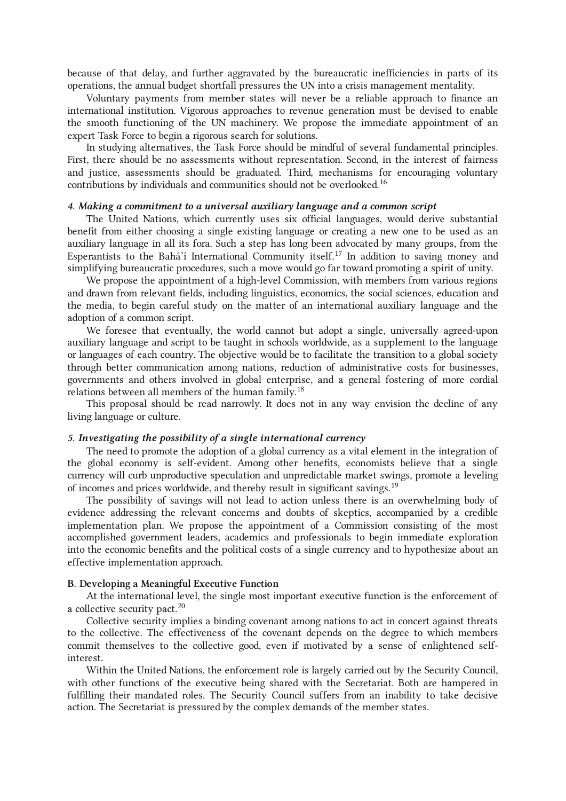because of that delay, and further aggravated by the bureaucratic inefficiencies in parts of its operations, the annual budget shortfall pressures the UN into a crisis management mentality.

Voluntary payments from member states will never be a reliable approach to finance an international institution. Vigorous approaches to revenue generation must be devised to enable the smooth functioning of the UN machinery. We propose the immediate appointment of an expert Task Force to begin a rigorous search for solutions.

<span id="page-6-1"></span>In studying alternatives, the Task Force should be mindful of several fundamental principles. First, there should be no assessments without representation. Second, in the interest of fairness and justice, assessments should be graduated. Third, mechanisms for encouraging voluntary contributions by individuals and communities should not be overlooked. [16](#page-19-1)

## 4. Making a commitment to a universal auxiliary language and a common script

<span id="page-6-2"></span>The United Nations, which currently uses six official languages, would derive substantial benefit from either choosing a single existing language or creating a new one to be used as an auxiliary language in all its fora. Such a step has long been advocated by many groups, from the Esperantists to the Bahá'í International Community itself.<sup>[17](#page-19-2)</sup> In addition to saving money and simplifying bureaucratic procedures, such a move would go far toward promoting a spirit of unity.

We propose the appointment of a high-level Commission, with members from various regions and drawn from relevant fields, including linguistics, economics, the social sciences, education and the media, to begin careful study on the matter of an international auxiliary language and the adoption of a common script.

<span id="page-6-3"></span>We foresee that eventually, the world cannot but adopt a single, universally agreed-upon auxiliary language and script to be taught in schools worldwide, as a supplement to the language or languages of each country. The objective would be to facilitate the transition to a global society through better communication among nations, reduction of administrative costs for businesses, governments and others involved in global enterprise, and a general fostering of more cordial relations between all members of the human family.<sup>[18](#page-19-3)</sup>

This proposal should be read narrowly. It does not in any way envision the decline of any living language or culture.

### 5. Investigating the possibility of a single international currency

<span id="page-6-4"></span>The need to promote the adoption of a global currency as a vital element in the integration of the global economy is self-evident. Among other benefits, economists believe that a single currency will curb unproductive speculation and unpredictable market swings, promote a leveling of incomes and prices worldwide, and thereby result in significant savings.<sup>[19](#page-20-0)</sup>

The possibility of savings will not lead to action unless there is an overwhelming body of evidence addressing the relevant concerns and doubts of skeptics, accompanied by a credible implementation plan. We propose the appointment of a Commission consisting of the most accomplished government leaders, academics and professionals to begin immediate exploration into the economic benefits and the political costs of a single currency and to hypothesize about an effective implementation approach.

#### <span id="page-6-0"></span>B. Developing a Meaningful Executive Function

<span id="page-6-5"></span>At the international level, the single most important executive function is the enforcement of a collective security pact.<sup>[20](#page-20-1)</sup>

Collective security implies a binding covenant among nations to act in concert against threats to the collective. The effectiveness of the covenant depends on the degree to which members commit themselves to the collective good, even if motivated by a sense of enlightened selfinterest.

Within the United Nations, the enforcement role is largely carried out by the Security Council, with other functions of the executive being shared with the Secretariat. Both are hampered in fulfilling their mandated roles. The Security Council suffers from an inability to take decisive action. The Secretariat is pressured by the complex demands of the member states.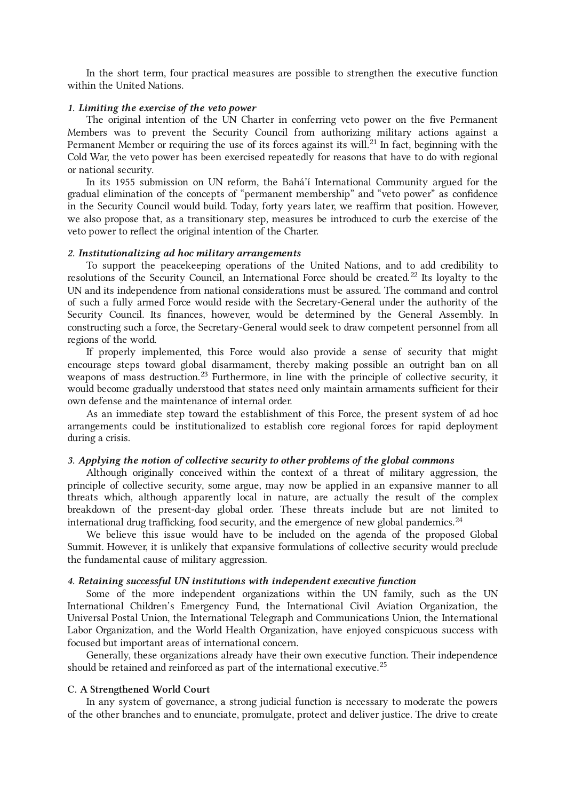In the short term, four practical measures are possible to strengthen the executive function within the United Nations.

#### 1. Limiting the exercise of the veto power

<span id="page-7-1"></span>The original intention of the UN Charter in conferring veto power on the five Permanent Members was to prevent the Security Council from authorizing military actions against a Permanent Member or requiring the use of its forces against its will.<sup>[21](#page-20-2)</sup> In fact, beginning with the Cold War, the veto power has been exercised repeatedly for reasons that have to do with regional or national security.

In its 1955 submission on UN reform, the Bahá'í International Community argued for the gradual elimination of the concepts of "permanent membership" and "veto power" as confidence in the Security Council would build. Today, forty years later, we reaffirm that position. However, we also propose that, as a transitionary step, measures be introduced to curb the exercise of the veto power to reflect the original intention of the Charter.

#### 2. Institutionalizing ad hoc military arrangements

<span id="page-7-2"></span>To support the peacekeeping operations of the United Nations, and to add credibility to resolutions of the Security Council, an International Force should be created.<sup>[22](#page-20-3)</sup> Its loyalty to the UN and its independence from national considerations must be assured. The command and control of such a fully armed Force would reside with the Secretary-General under the authority of the Security Council. Its finances, however, would be determined by the General Assembly. In constructing such a force, the Secretary-General would seek to draw competent personnel from all regions of the world.

<span id="page-7-3"></span>If properly implemented, this Force would also provide a sense of security that might encourage steps toward global disarmament, thereby making possible an outright ban on all weapons of mass destruction.<sup>[23](#page-20-4)</sup> Furthermore, in line with the principle of collective security, it would become gradually understood that states need only maintain armaments sufficient for their own defense and the maintenance of internal order.

As an immediate step toward the establishment of this Force, the present system of ad hoc arrangements could be institutionalized to establish core regional forces for rapid deployment during a crisis.

### 3. Applying the notion of collective security to other problems of the global commons

<span id="page-7-4"></span>Although originally conceived within the context of a threat of military aggression, the principle of collective security, some argue, may now be applied in an expansive manner to all threats which, although apparently local in nature, are actually the result of the complex breakdown of the present-day global order. These threats include but are not limited to international drug trafficking, food security, and the emergence of new global pandemics. $^{24}$  $^{24}$  $^{24}$ 

We believe this issue would have to be included on the agenda of the proposed Global Summit. However, it is unlikely that expansive formulations of collective security would preclude the fundamental cause of military aggression.

### 4. Retaining successful UN institutions with independent executive function

Some of the more independent organizations within the UN family, such as the UN International Children's Emergency Fund, the International Civil Aviation Organization, the Universal Postal Union, the International Telegraph and Communications Union, the International Labor Organization, and the World Health Organization, have enjoyed conspicuous success with focused but important areas of international concern.

<span id="page-7-5"></span>Generally, these organizations already have their own executive function. Their independence should be retained and reinforced as part of the international executive.<sup>[25](#page-20-6)</sup>

### <span id="page-7-0"></span>C. A Strengthened World Court

<span id="page-7-6"></span>In any system of governance, a strong judicial function is necessary to moderate the powers of the other branches and to enunciate, promulgate, protect and deliver justice. The drive to create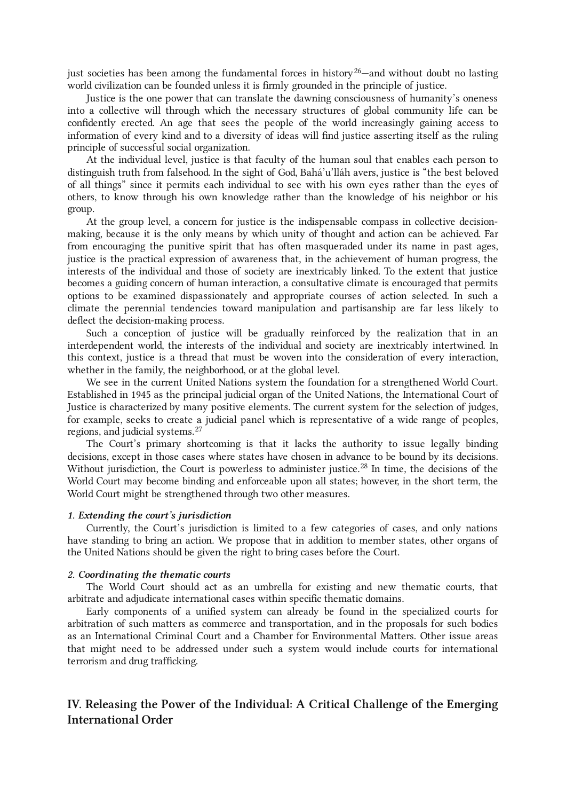just societies has been among the fundamental forces in history<sup>[26](#page-20-7)</sup>—and without doubt no lasting world civilization can be founded unless it is firmly grounded in the principle of justice.

Justice is the one power that can translate the dawning consciousness of humanity's oneness into a collective will through which the necessary structures of global community life can be confidently erected. An age that sees the people of the world increasingly gaining access to information of every kind and to a diversity of ideas will find justice asserting itself as the ruling principle of successful social organization.

At the individual level, justice is that faculty of the human soul that enables each person to distinguish truth from falsehood. In the sight of God, Bahá'u'lláh avers, justice is "the best beloved of all things" since it permits each individual to see with his own eyes rather than the eyes of others, to know through his own knowledge rather than the knowledge of his neighbor or his group.

At the group level, a concern for justice is the indispensable compass in collective decisionmaking, because it is the only means by which unity of thought and action can be achieved. Far from encouraging the punitive spirit that has often masqueraded under its name in past ages, justice is the practical expression of awareness that, in the achievement of human progress, the interests of the individual and those of society are inextricably linked. To the extent that justice becomes a guiding concern of human interaction, a consultative climate is encouraged that permits options to be examined dispassionately and appropriate courses of action selected. In such a climate the perennial tendencies toward manipulation and partisanship are far less likely to deflect the decision-making process.

Such a conception of justice will be gradually reinforced by the realization that in an interdependent world, the interests of the individual and society are inextricably intertwined. In this context, justice is a thread that must be woven into the consideration of every interaction, whether in the family, the neighborhood, or at the global level.

<span id="page-8-1"></span>We see in the current United Nations system the foundation for a strengthened World Court. Established in 1945 as the principal judicial organ of the United Nations, the International Court of Justice is characterized by many positive elements. The current system for the selection of judges, for example, seeks to create a judicial panel which is representative of a wide range of peoples, regions, and judicial systems. [27](#page-20-8)

<span id="page-8-2"></span>The Court's primary shortcoming is that it lacks the authority to issue legally binding decisions, except in those cases where states have chosen in advance to be bound by its decisions. Without jurisdiction, the Court is powerless to administer justice.<sup>[28](#page-21-0)</sup> In time, the decisions of the World Court may become binding and enforceable upon all states; however, in the short term, the World Court might be strengthened through two other measures.

### 1. Extending the court's jurisdiction

Currently, the Court's jurisdiction is limited to a few categories of cases, and only nations have standing to bring an action. We propose that in addition to member states, other organs of the United Nations should be given the right to bring cases before the Court.

### 2. Coordinating the thematic courts

The World Court should act as an umbrella for existing and new thematic courts, that arbitrate and adjudicate international cases within specific thematic domains.

Early components of a unified system can already be found in the specialized courts for arbitration of such matters as commerce and transportation, and in the proposals for such bodies as an International Criminal Court and a Chamber for Environmental Matters. Other issue areas that might need to be addressed under such a system would include courts for international terrorism and drug trafficking.

# <span id="page-8-0"></span>IV. Releasing the Power of the Individual: A Critical Challenge of the Emerging International Order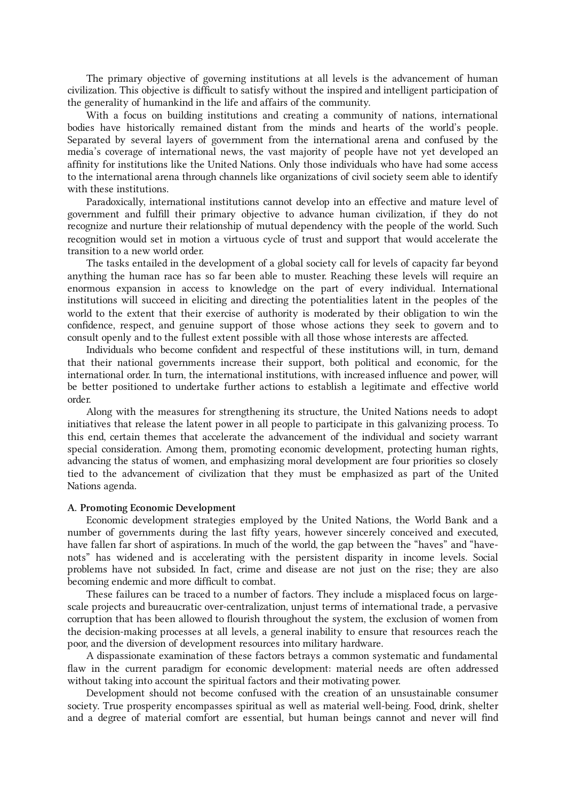The primary objective of governing institutions at all levels is the advancement of human civilization. This objective is difficult to satisfy without the inspired and intelligent participation of the generality of humankind in the life and affairs of the community.

With a focus on building institutions and creating a community of nations, international bodies have historically remained distant from the minds and hearts of the world's people. Separated by several layers of government from the international arena and confused by the media's coverage of international news, the vast majority of people have not yet developed an affinity for institutions like the United Nations. Only those individuals who have had some access to the international arena through channels like organizations of civil society seem able to identify with these institutions.

Paradoxically, international institutions cannot develop into an effective and mature level of government and fulfill their primary objective to advance human civilization, if they do not recognize and nurture their relationship of mutual dependency with the people of the world. Such recognition would set in motion a virtuous cycle of trust and support that would accelerate the transition to a new world order.

The tasks entailed in the development of a global society call for levels of capacity far beyond anything the human race has so far been able to muster. Reaching these levels will require an enormous expansion in access to knowledge on the part of every individual. International institutions will succeed in eliciting and directing the potentialities latent in the peoples of the world to the extent that their exercise of authority is moderated by their obligation to win the confidence, respect, and genuine support of those whose actions they seek to govern and to consult openly and to the fullest extent possible with all those whose interests are affected.

Individuals who become confident and respectful of these institutions will, in turn, demand that their national governments increase their support, both political and economic, for the international order. In turn, the international institutions, with increased influence and power, will be better positioned to undertake further actions to establish a legitimate and effective world order.

Along with the measures for strengthening its structure, the United Nations needs to adopt initiatives that release the latent power in all people to participate in this galvanizing process. To this end, certain themes that accelerate the advancement of the individual and society warrant special consideration. Among them, promoting economic development, protecting human rights, advancing the status of women, and emphasizing moral development are four priorities so closely tied to the advancement of civilization that they must be emphasized as part of the United Nations agenda.

### <span id="page-9-0"></span>A. Promoting Economic Development

Economic development strategies employed by the United Nations, the World Bank and a number of governments during the last fifty years, however sincerely conceived and executed, have fallen far short of aspirations. In much of the world, the gap between the "haves" and "havenots" has widened and is accelerating with the persistent disparity in income levels. Social problems have not subsided. In fact, crime and disease are not just on the rise; they are also becoming endemic and more difficult to combat.

These failures can be traced to a number of factors. They include a misplaced focus on largescale projects and bureaucratic over-centralization, unjust terms of international trade, a pervasive corruption that has been allowed to flourish throughout the system, the exclusion of women from the decision-making processes at all levels, a general inability to ensure that resources reach the poor, and the diversion of development resources into military hardware.

A dispassionate examination of these factors betrays a common systematic and fundamental flaw in the current paradigm for economic development: material needs are often addressed without taking into account the spiritual factors and their motivating power.

Development should not become confused with the creation of an unsustainable consumer society. True prosperity encompasses spiritual as well as material well-being. Food, drink, shelter and a degree of material comfort are essential, but human beings cannot and never will find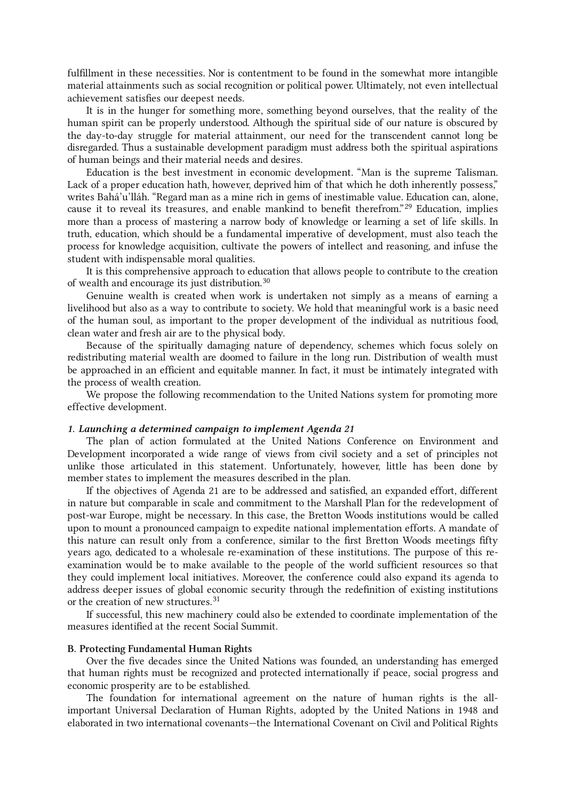fulfillment in these necessities. Nor is contentment to be found in the somewhat more intangible material attainments such as social recognition or political power. Ultimately, not even intellectual achievement satisfies our deepest needs.

It is in the hunger for something more, something beyond ourselves, that the reality of the human spirit can be properly understood. Although the spiritual side of our nature is obscured by the day-to-day struggle for material attainment, our need for the transcendent cannot long be disregarded. Thus a sustainable development paradigm must address both the spiritual aspirations of human beings and their material needs and desires.

<span id="page-10-1"></span>Education is the best investment in economic development. "Man is the supreme Talisman. Lack of a proper education hath, however, deprived him of that which he doth inherently possess," writes Bahá'u'lláh. "Regard man as a mine rich in gems of inestimable value. Education can, alone, cause it to reveal its treasures, and enable mankind to benefit therefrom."<sup>[29](#page-21-1)</sup> Education, implies more than a process of mastering a narrow body of knowledge or learning a set of life skills. In truth, education, which should be a fundamental imperative of development, must also teach the process for knowledge acquisition, cultivate the powers of intellect and reasoning, and infuse the student with indispensable moral qualities.

<span id="page-10-2"></span>It is this comprehensive approach to education that allows people to contribute to the creation of wealth and encourage its just distribution.<sup>[30](#page-21-2)</sup>

Genuine wealth is created when work is undertaken not simply as a means of earning a livelihood but also as a way to contribute to society. We hold that meaningful work is a basic need of the human soul, as important to the proper development of the individual as nutritious food, clean water and fresh air are to the physical body.

Because of the spiritually damaging nature of dependency, schemes which focus solely on redistributing material wealth are doomed to failure in the long run. Distribution of wealth must be approached in an efficient and equitable manner. In fact, it must be intimately integrated with the process of wealth creation.

We propose the following recommendation to the United Nations system for promoting more effective development.

### 1. Launching a determined campaign to implement Agenda 21

The plan of action formulated at the United Nations Conference on Environment and Development incorporated a wide range of views from civil society and a set of principles not unlike those articulated in this statement. Unfortunately, however, little has been done by member states to implement the measures described in the plan.

<span id="page-10-3"></span>If the objectives of Agenda 21 are to be addressed and satisfied, an expanded effort, different in nature but comparable in scale and commitment to the Marshall Plan for the redevelopment of post-war Europe, might be necessary. In this case, the Bretton Woods institutions would be called upon to mount a pronounced campaign to expedite national implementation efforts. A mandate of this nature can result only from a conference, similar to the first Bretton Woods meetings fifty years ago, dedicated to a wholesale re-examination of these institutions. The purpose of this reexamination would be to make available to the people of the world sufficient resources so that they could implement local initiatives. Moreover, the conference could also expand its agenda to address deeper issues of global economic security through the redefinition of existing institutions or the creation of new structures. [31](#page-22-0)

If successful, this new machinery could also be extended to coordinate implementation of the measures identified at the recent Social Summit.

#### <span id="page-10-0"></span>B. Protecting Fundamental Human Rights

Over the five decades since the United Nations was founded, an understanding has emerged that human rights must be recognized and protected internationally if peace, social progress and economic prosperity are to be established.

The foundation for international agreement on the nature of human rights is the allimportant Universal Declaration of Human Rights, adopted by the United Nations in 1948 and elaborated in two international covenants—the International Covenant on Civil and Political Rights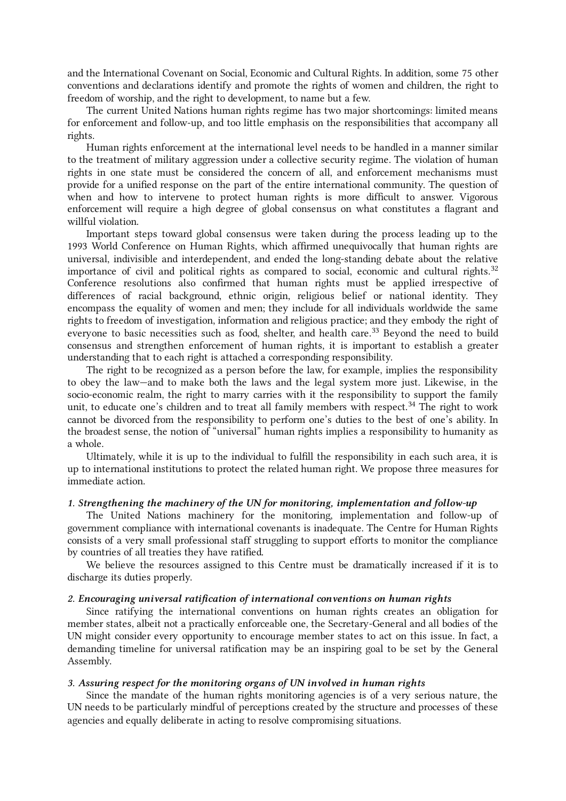and the International Covenant on Social, Economic and Cultural Rights. In addition, some 75 other conventions and declarations identify and promote the rights of women and children, the right to freedom of worship, and the right to development, to name but a few.

The current United Nations human rights regime has two major shortcomings: limited means for enforcement and follow-up, and too little emphasis on the responsibilities that accompany all rights.

Human rights enforcement at the international level needs to be handled in a manner similar to the treatment of military aggression under a collective security regime. The violation of human rights in one state must be considered the concern of all, and enforcement mechanisms must provide for a unified response on the part of the entire international community. The question of when and how to intervene to protect human rights is more difficult to answer. Vigorous enforcement will require a high degree of global consensus on what constitutes a flagrant and willful violation.

<span id="page-11-0"></span>Important steps toward global consensus were taken during the process leading up to the 1993 World Conference on Human Rights, which affirmed unequivocally that human rights are universal, indivisible and interdependent, and ended the long-standing debate about the relative importance of civil and political rights as compared to social, economic and cultural rights.<sup>[32](#page-22-1)</sup> Conference resolutions also confirmed that human rights must be applied irrespective of differences of racial background, ethnic origin, religious belief or national identity. They encompass the equality of women and men; they include for all individuals worldwide the same rights to freedom of investigation, information and religious practice; and they embody the right of everyone to basic necessities such as food, shelter, and health care.<sup>[33](#page-22-2)</sup> Beyond the need to build consensus and strengthen enforcement of human rights, it is important to establish a greater understanding that to each right is attached a corresponding responsibility.

<span id="page-11-1"></span>The right to be recognized as a person before the law, for example, implies the responsibility to obey the law—and to make both the laws and the legal system more just. Likewise, in the socio-economic realm, the right to marry carries with it the responsibility to support the family unit, to educate one's children and to treat all family members with respect.<sup>[34](#page-23-0)</sup> The right to work cannot be divorced from the responsibility to perform one's duties to the best of one's ability. In the broadest sense, the notion of "universal" human rights implies a responsibility to humanity as a whole.

Ultimately, while it is up to the individual to fulfill the responsibility in each such area, it is up to international institutions to protect the related human right. We propose three measures for immediate action.

### 1. Strengthening the machinery of the UN for monitoring, implementation and follow-up

The United Nations machinery for the monitoring, implementation and follow-up of government compliance with international covenants is inadequate. The Centre for Human Rights consists of a very small professional staff struggling to support efforts to monitor the compliance by countries of all treaties they have ratified.

We believe the resources assigned to this Centre must be dramatically increased if it is to discharge its duties properly.

### 2. Encouraging universal ratification of international conventions on human rights

Since ratifying the international conventions on human rights creates an obligation for member states, albeit not a practically enforceable one, the Secretary-General and all bodies of the UN might consider every opportunity to encourage member states to act on this issue. In fact, a demanding timeline for universal ratification may be an inspiring goal to be set by the General Assembly.

## 3. Assuring respect for the monitoring organs of UN involved in human rights

Since the mandate of the human rights monitoring agencies is of a very serious nature, the UN needs to be particularly mindful of perceptions created by the structure and processes of these agencies and equally deliberate in acting to resolve compromising situations.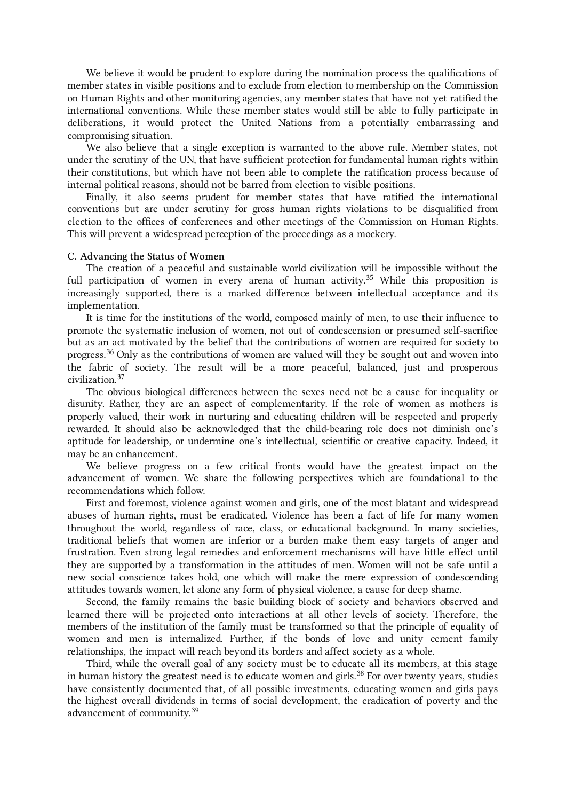We believe it would be prudent to explore during the nomination process the qualifications of member states in visible positions and to exclude from election to membership on the Commission on Human Rights and other monitoring agencies, any member states that have not yet ratified the international conventions. While these member states would still be able to fully participate in deliberations, it would protect the United Nations from a potentially embarrassing and compromising situation.

We also believe that a single exception is warranted to the above rule. Member states, not under the scrutiny of the UN, that have sufficient protection for fundamental human rights within their constitutions, but which have not been able to complete the ratification process because of internal political reasons, should not be barred from election to visible positions.

Finally, it also seems prudent for member states that have ratified the international conventions but are under scrutiny for gross human rights violations to be disqualified from election to the offices of conferences and other meetings of the Commission on Human Rights. This will prevent a widespread perception of the proceedings as a mockery.

#### <span id="page-12-0"></span>C. Advancing the Status of Women

<span id="page-12-1"></span>The creation of a peaceful and sustainable world civilization will be impossible without the full participation of women in every arena of human activity.<sup>[35](#page-23-1)</sup> While this proposition is increasingly supported, there is a marked difference between intellectual acceptance and its implementation.

<span id="page-12-2"></span>It is time for the institutions of the world, composed mainly of men, to use their influence to promote the systematic inclusion of women, not out of condescension or presumed self-sacrifice but as an act motivated by the belief that the contributions of women are required for society to progress.<sup>[36](#page-23-2)</sup> Only as the contributions of women are valued will they be sought out and woven into the fabric of society. The result will be a more peaceful, balanced, just and prosperous civilization. [37](#page-23-3)

The obvious biological differences between the sexes need not be a cause for inequality or disunity. Rather, they are an aspect of complementarity. If the role of women as mothers is properly valued, their work in nurturing and educating children will be respected and properly rewarded. It should also be acknowledged that the child-bearing role does not diminish one's aptitude for leadership, or undermine one's intellectual, scientific or creative capacity. Indeed, it may be an enhancement.

We believe progress on a few critical fronts would have the greatest impact on the advancement of women. We share the following perspectives which are foundational to the recommendations which follow.

First and foremost, violence against women and girls, one of the most blatant and widespread abuses of human rights, must be eradicated. Violence has been a fact of life for many women throughout the world, regardless of race, class, or educational background. In many societies, traditional beliefs that women are inferior or a burden make them easy targets of anger and frustration. Even strong legal remedies and enforcement mechanisms will have little effect until they are supported by a transformation in the attitudes of men. Women will not be safe until a new social conscience takes hold, one which will make the mere expression of condescending attitudes towards women, let alone any form of physical violence, a cause for deep shame.

Second, the family remains the basic building block of society and behaviors observed and learned there will be projected onto interactions at all other levels of society. Therefore, the members of the institution of the family must be transformed so that the principle of equality of women and men is internalized. Further, if the bonds of love and unity cement family relationships, the impact will reach beyond its borders and affect society as a whole.

<span id="page-12-3"></span>Third, while the overall goal of any society must be to educate all its members, at this stage in human history the greatest need is to educate women and girls. $^{38}$  $^{38}$  $^{38}$  For over twenty years, studies have consistently documented that, of all possible investments, educating women and girls pays the highest overall dividends in terms of social development, the eradication of poverty and the advancement of community.<sup>[39](#page-24-0)</sup>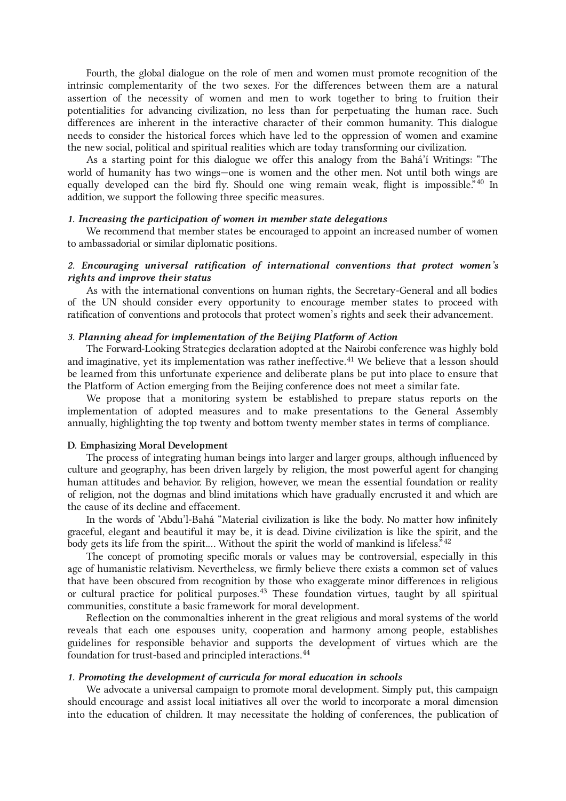Fourth, the global dialogue on the role of men and women must promote recognition of the intrinsic complementarity of the two sexes. For the differences between them are a natural assertion of the necessity of women and men to work together to bring to fruition their potentialities for advancing civilization, no less than for perpetuating the human race. Such differences are inherent in the interactive character of their common humanity. This dialogue needs to consider the historical forces which have led to the oppression of women and examine the new social, political and spiritual realities which are today transforming our civilization.

<span id="page-13-1"></span>As a starting point for this dialogue we offer this analogy from the Bahá'í Writings: "The world of humanity has two wings—one is women and the other men. Not until both wings are equally developed can the bird fly. Should one wing remain weak, flight is impossible."<sup>[40](#page-24-1)</sup> In addition, we support the following three specific measures.

#### 1. Increasing the participation of women in member state delegations

We recommend that member states be encouraged to appoint an increased number of women to ambassadorial or similar diplomatic positions.

## 2. Encouraging universal ratification of international conventions that protect women's rights and improve their status

As with the international conventions on human rights, the Secretary-General and all bodies of the UN should consider every opportunity to encourage member states to proceed with ratification of conventions and protocols that protect women's rights and seek their advancement.

### 3. Planning ahead for implementation of the Beijing Platform of Action

<span id="page-13-2"></span>The Forward-Looking Strategies declaration adopted at the Nairobi conference was highly bold and imaginative, yet its implementation was rather ineffective. [41](#page-24-2) We believe that a lesson should be learned from this unfortunate experience and deliberate plans be put into place to ensure that the Platform of Action emerging from the Beijing conference does not meet a similar fate.

We propose that a monitoring system be established to prepare status reports on the implementation of adopted measures and to make presentations to the General Assembly annually, highlighting the top twenty and bottom twenty member states in terms of compliance.

#### <span id="page-13-0"></span>D. Emphasizing Moral Development

The process of integrating human beings into larger and larger groups, although influenced by culture and geography, has been driven largely by religion, the most powerful agent for changing human attitudes and behavior. By religion, however, we mean the essential foundation or reality of religion, not the dogmas and blind imitations which have gradually encrusted it and which are the cause of its decline and effacement.

<span id="page-13-3"></span>In the words of 'Abdu'l‑Bahá "Material civilization is like the body. No matter how infinitely graceful, elegant and beautiful it may be, it is dead. Divine civilization is like the spirit, and the body gets its life from the spirit.... Without the spirit the world of mankind is lifeless."<sup>[42](#page-24-3)</sup>

<span id="page-13-4"></span>The concept of promoting specific morals or values may be controversial, especially in this age of humanistic relativism. Nevertheless, we firmly believe there exists a common set of values that have been obscured from recognition by those who exaggerate minor differences in religious or cultural practice for political purposes.<sup>[43](#page-24-4)</sup> These foundation virtues, taught by all spiritual communities, constitute a basic framework for moral development.

<span id="page-13-5"></span>Reflection on the commonalties inherent in the great religious and moral systems of the world reveals that each one espouses unity, cooperation and harmony among people, establishes guidelines for responsible behavior and supports the development of virtues which are the foundation for trust-based and principled interactions. [44](#page-24-5)

#### 1. Promoting the development of curricula for moral education in schools

We advocate a universal campaign to promote moral development. Simply put, this campaign should encourage and assist local initiatives all over the world to incorporate a moral dimension into the education of children. It may necessitate the holding of conferences, the publication of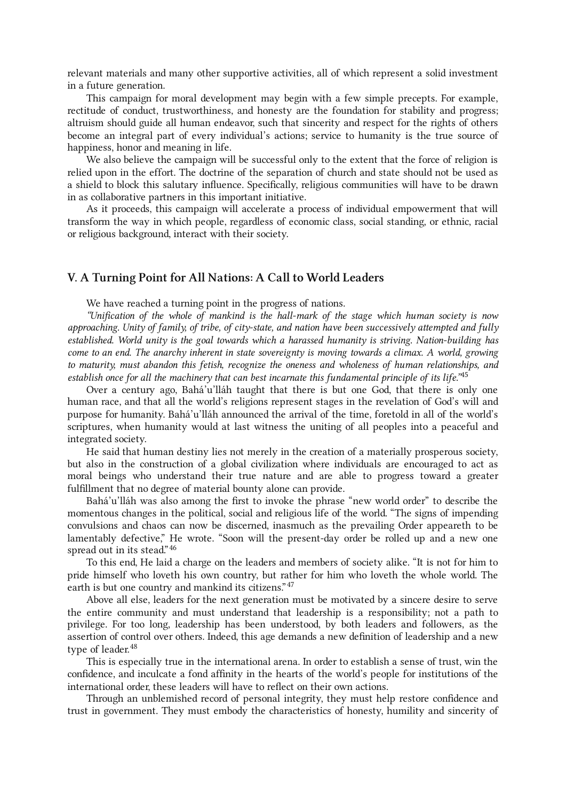relevant materials and many other supportive activities, all of which represent a solid investment in a future generation.

This campaign for moral development may begin with a few simple precepts. For example, rectitude of conduct, trustworthiness, and honesty are the foundation for stability and progress; altruism should guide all human endeavor, such that sincerity and respect for the rights of others become an integral part of every individual's actions; service to humanity is the true source of happiness, honor and meaning in life.

We also believe the campaign will be successful only to the extent that the force of religion is relied upon in the effort. The doctrine of the separation of church and state should not be used as a shield to block this salutary influence. Specifically, religious communities will have to be drawn in as collaborative partners in this important initiative.

As it proceeds, this campaign will accelerate a process of individual empowerment that will transform the way in which people, regardless of economic class, social standing, or ethnic, racial or religious background, interact with their society.

## <span id="page-14-0"></span>V. A Turning Point for All Nations: A Call to World Leaders

<span id="page-14-1"></span>We have reached a turning point in the progress of nations.

"Unification of the whole of mankind is the hall-mark of the stage which human society is now approaching. Unity of family, of tribe, of city-state, and nation have been successively attempted and fully established. World unity is the goal towards which a harassed humanity is striving. Nation-building has come to an end. The anarchy inherent in state sovereignty is moving towards a climax. A world, growing to maturity, must abandon this fetish, recognize the oneness and wholeness of human relationships, and establish once for all the machinery that can best incarnate this fundamental principle of its life."<sup>[45](#page-25-0)</sup>

Over a century ago, Bahá'u'lláh taught that there is but one God, that there is only one human race, and that all the world's religions represent stages in the revelation of God's will and purpose for humanity. Bahá'u'lláh announced the arrival of the time, foretold in all of the world's scriptures, when humanity would at last witness the uniting of all peoples into a peaceful and integrated society.

He said that human destiny lies not merely in the creation of a materially prosperous society, but also in the construction of a global civilization where individuals are encouraged to act as moral beings who understand their true nature and are able to progress toward a greater fulfillment that no degree of material bounty alone can provide.

<span id="page-14-2"></span>Bahá'u'lláh was also among the first to invoke the phrase "new world order" to describe the momentous changes in the political, social and religious life of the world. "The signs of impending convulsions and chaos can now be discerned, inasmuch as the prevailing Order appeareth to be lamentably defective," He wrote. "Soon will the present-day order be rolled up and a new one spread out in its stead." [46](#page-25-1)

<span id="page-14-3"></span>To this end, He laid a charge on the leaders and members of society alike. "It is not for him to pride himself who loveth his own country, but rather for him who loveth the whole world. The earth is but one country and mankind its citizens."<sup>[47](#page-25-2)</sup>

<span id="page-14-4"></span>Above all else, leaders for the next generation must be motivated by a sincere desire to serve the entire community and must understand that leadership is a responsibility; not a path to privilege. For too long, leadership has been understood, by both leaders and followers, as the assertion of control over others. Indeed, this age demands a new definition of leadership and a new type of leader.<sup>[48](#page-25-3)</sup>

This is especially true in the international arena. In order to establish a sense of trust, win the confidence, and inculcate a fond affinity in the hearts of the world's people for institutions of the international order, these leaders will have to reflect on their own actions.

Through an unblemished record of personal integrity, they must help restore confidence and trust in government. They must embody the characteristics of honesty, humility and sincerity of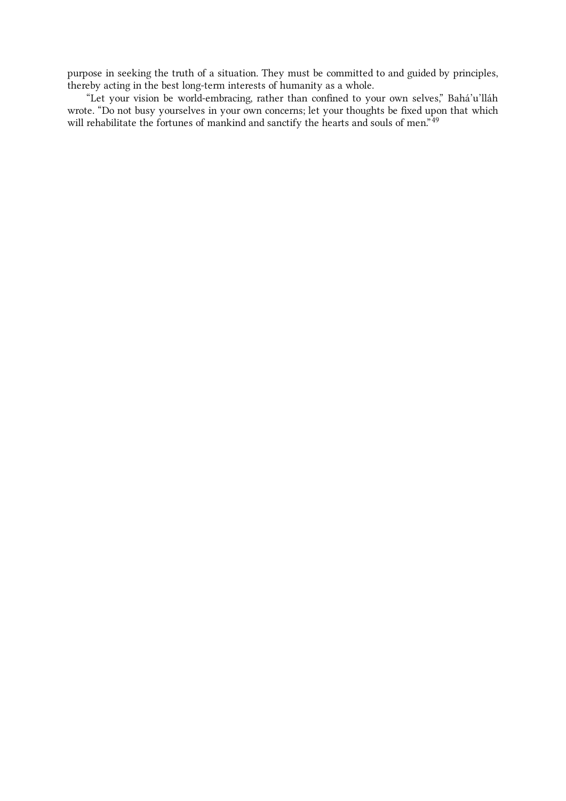purpose in seeking the truth of a situation. They must be committed to and guided by principles, thereby acting in the best long-term interests of humanity as a whole.

<span id="page-15-0"></span>"Let your vision be world-embracing, rather than confined to your own selves," Bahá'u'lláh wrote. "Do not busy yourselves in your own concerns; let your thoughts be fixed upon that which will rehabilitate the fortunes of mankind and sanctify the hearts and souls of men."<sup>[49](#page-25-4)</sup>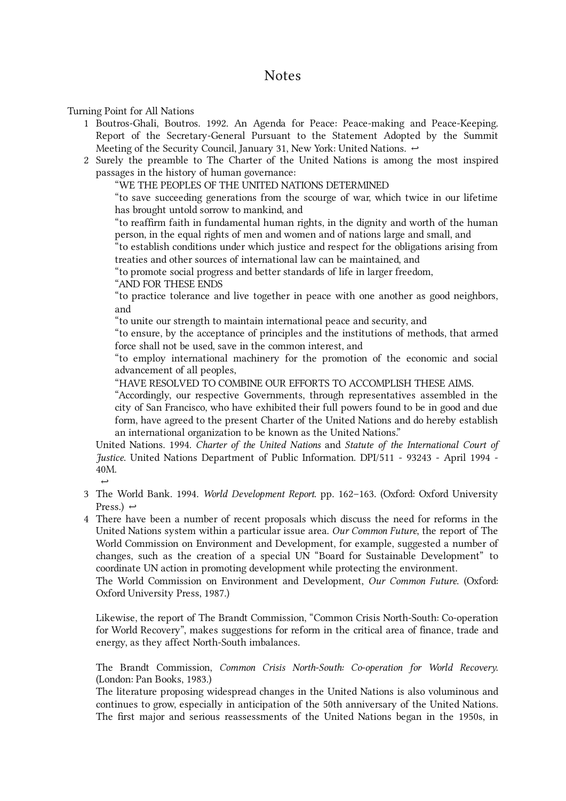Turning Point for All Nations

- <span id="page-16-1"></span>1 Boutros-Ghali, Boutros. 1992. An Agenda for Peace: Peace-making and Peace-Keeping. Report of the Secretary-General Pursuant to the Statement Adopted by the Summit Meeting of the Security Council, January 31, New York: United Nations.  $\leftrightarrow$
- <span id="page-16-2"></span>2 Surely the preamble to The Charter of the United Nations is among the most inspired passages in the history of human governance:

<span id="page-16-0"></span>"WE THE PEOPLES OF THE UNITED NATIONS DETERMINED

"to save succeeding generations from the scourge of war, which twice in our lifetime has brought untold sorrow to mankind, and

"to reaffirm faith in fundamental human rights, in the dignity and worth of the human person, in the equal rights of men and women and of nations large and small, and

"to establish conditions under which justice and respect for the obligations arising from treaties and other sources of international law can be maintained, and

"to promote social progress and better standards of life in larger freedom,

"AND FOR THESE ENDS

"to practice tolerance and live together in peace with one another as good neighbors, and

"to unite our strength to maintain international peace and security, and

"to ensure, by the acceptance of principles and the institutions of methods, that armed force shall not be used, save in the common interest, and

"to employ international machinery for the promotion of the economic and social advancement of all peoples,

"HAVE RESOLVED TO COMBINE OUR EFFORTS TO ACCOMPLISH THESE AIMS.

"Accordingly, our respective Governments, through representatives assembled in the city of San Francisco, who have exhibited their full powers found to be in good and due form, have agreed to the present Charter of the United Nations and do hereby establish an international organization to be known as the United Nations."

United Nations. 1994. Charter of the United Nations and Statute of the International Court of Justice. United Nations Department of Public Information. DPI/511 - 93243 - April 1994 - 40M.

- <span id="page-16-3"></span> $\rightarrow$ 3 The World Bank. 1994. *World Development Report.* pp. 162–163. (Oxford: Oxford University Press.)  $\leftrightarrow$
- <span id="page-16-4"></span>There have been a number of recent proposals which discuss the need for reforms in the 4United Nations system within a particular issue area. Our Common Future, the report of The World Commission on Environment and Development, for example, suggested a number of changes, such as the creation of a special UN "Board for Sustainable Development" to coordinate UN action in promoting development while protecting the environment.

The World Commission on Environment and Development, Our Common Future. (Oxford: Oxford University Press, 1987.)

Likewise, the report of The Brandt Commission, "Common Crisis North-South: Co-operation for World Recovery", makes suggestions for reform in the critical area of finance, trade and energy, as they affect North-South imbalances.

The Brandt Commission, Common Crisis North-South: Co-operation for World Recovery. (London: Pan Books, 1983.)

The literature proposing widespread changes in the United Nations is also voluminous and continues to grow, especially in anticipation of the 50th anniversary of the United Nations. The first major and serious reassessments of the United Nations began in the 1950s, in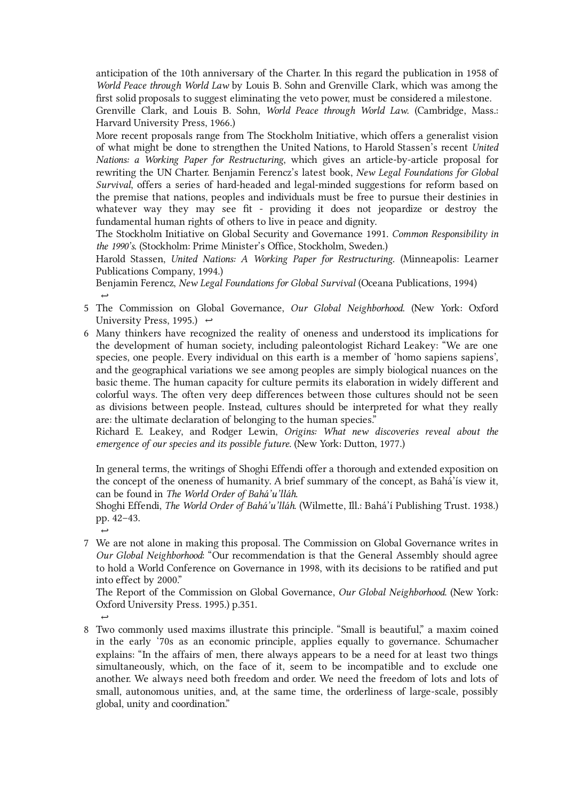anticipation of the 10th anniversary of the Charter. In this regard the publication in 1958 of World Peace through World Law by Louis B. Sohn and Grenville Clark, which was among the first solid proposals to suggest eliminating the veto power, must be considered a milestone. Grenville Clark, and Louis B. Sohn, World Peace through World Law. (Cambridge, Mass.:

Harvard University Press, 1966.)

More recent proposals range from The Stockholm Initiative, which offers a generalist vision of what might be done to strengthen the United Nations, to Harold Stassen's recent United Nations: a Working Paper for Restructuring, which gives an article-by-article proposal for rewriting the UN Charter. Benjamin Ferencz's latest book, New Legal Foundations for Global Survival, offers a series of hard-headed and legal-minded suggestions for reform based on the premise that nations, peoples and individuals must be free to pursue their destinies in whatever way they may see fit - providing it does not jeopardize or destroy the fundamental human rights of others to live in peace and dignity.

The Stockholm Initiative on Global Security and Governance 1991. Common Responsibility in the 1990's. (Stockholm: Prime Minister's Office, Stockholm, Sweden.)

Harold Stassen, United Nations: A Working Paper for Restructuring. (Minneapolis: Learner Publications Company, 1994.)

 $\rightarrow$ Benjamin Ferencz, New Legal Foundations for Global Survival (Oceana Publications, 1994)

- <span id="page-17-0"></span>5 The Commission on Global Governance, *Our Global Neighborhood*. (New York: Oxford University Press, 1995.)  $\leftrightarrow$
- <span id="page-17-1"></span>6 Many thinkers have recognized the reality of oneness and understood its implications for the development of human society, including paleontologist Richard Leakey: "We are one species, one people. Every individual on this earth is a member of 'homo sapiens sapiens', and the geographical variations we see among peoples are simply biological nuances on the basic theme. The human capacity for culture permits its elaboration in widely different and colorful ways. The often very deep differences between those cultures should not be seen as divisions between people. Instead, cultures should be interpreted for what they really are: the ultimate declaration of belonging to the human species."

Richard E. Leakey, and Rodger Lewin, Origins: What new discoveries reveal about the emergence of our species and its possible future. (New York: Dutton, 1977.)

In general terms, the writings of Shoghi Effendi offer a thorough and extended exposition on the concept of the oneness of humanity. A brief summary of the concept, as Bahá'ís view it, can be found in The World Order of Bahá'u'lláh.

Shoghi Effendi, The World Order of Bahá'u'lláh. (Wilmette, Ill.: Bahá'í Publishing Trust. 1938.) pp. 42–43.

<span id="page-17-2"></span> $\rightarrow$ We are not alone in making this proposal. The Commission on Global Governance writes in 7 Our Global Neighborhood: "Our recommendation is that the General Assembly should agree to hold a World Conference on Governance in 1998, with its decisions to be ratified and put into effect by 2000."

The Report of the Commission on Global Governance, Our Global Neighborhood. (New York: Oxford University Press. 1995.) p.351.

<span id="page-17-3"></span> $\rightarrow$ Two commonly used maxims illustrate this principle. "Small is beautiful," a maxim coined 8in the early '70s as an economic principle, applies equally to governance. Schumacher explains: "In the affairs of men, there always appears to be a need for at least two things simultaneously, which, on the face of it, seem to be incompatible and to exclude one another. We always need both freedom and order. We need the freedom of lots and lots of small, autonomous unities, and, at the same time, the orderliness of large-scale, possibly global, unity and coordination."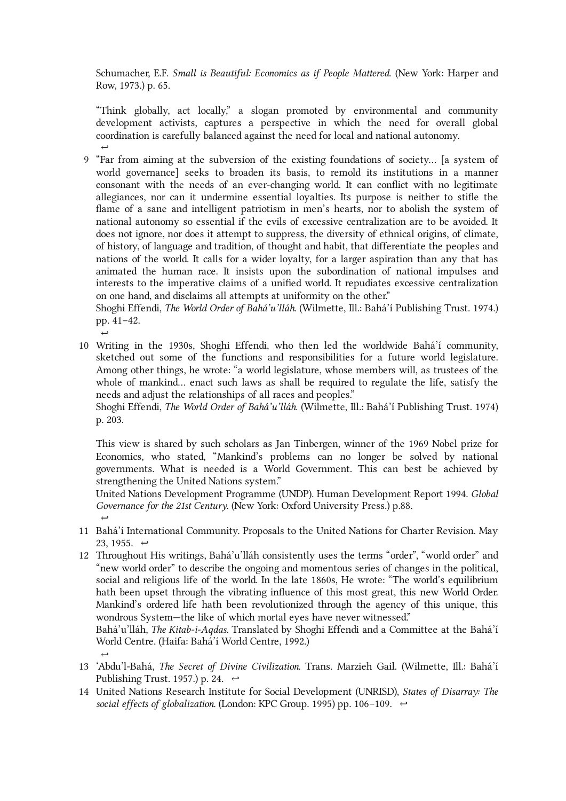Schumacher, E.F. Small is Beautiful: Economics as if People Mattered. (New York: Harper and Row, 1973.) p. 65.

 $\rightarrow$ "Think globally, act locally," a slogan promoted by environmental and community development activists, captures a perspective in which the need for overall global coordination is carefully balanced against the need for local and national autonomy.

<span id="page-18-0"></span>"Far from aiming at the subversion of the existing foundations of society… [a system of 9 world governance] seeks to broaden its basis, to remold its institutions in a manner consonant with the needs of an ever-changing world. It can conflict with no legitimate allegiances, nor can it undermine essential loyalties. Its purpose is neither to stifle the flame of a sane and intelligent patriotism in men's hearts, nor to abolish the system of national autonomy so essential if the evils of excessive centralization are to be avoided. It does not ignore, nor does it attempt to suppress, the diversity of ethnical origins, of climate, of history, of language and tradition, of thought and habit, that differentiate the peoples and nations of the world. It calls for a wider loyalty, for a larger aspiration than any that has animated the human race. It insists upon the subordination of national impulses and interests to the imperative claims of a unified world. It repudiates excessive centralization on one hand, and disclaims all attempts at uniformity on the other."

Shoghi Effendi, The World Order of Bahá'u'lláh. (Wilmette, Ill.: Bahá'í Publishing Trust. 1974.) pp. 41–42.

Writing in the 1930s, Shoghi Effendi, who then led the worldwide Bahá'í community, 10 sketched out some of the functions and responsibilities for a future world legislature. Among other things, he wrote: "a world legislature, whose members will, as trustees of the whole of mankind... enact such laws as shall be required to regulate the life, satisfy the needs and adjust the relationships of all races and peoples."

<span id="page-18-1"></span> $\rightarrow$ 

Shoghi Effendi, The World Order of Bahá'u'lláh. (Wilmette, Ill.: Bahá'í Publishing Trust. 1974) p. 203.

This view is shared by such scholars as Jan Tinbergen, winner of the 1969 Nobel prize for Economics, who stated, "Mankind's problems can no longer be solved by national governments. What is needed is a World Government. This can best be achieved by strengthening the United Nations system."

 $\rightarrow$ United Nations Development Programme (UNDP). Human Development Report 1994. Global Governance for the 21st Century. (New York: Oxford University Press.) p.88.

- <span id="page-18-2"></span>11 Bahá'í International Community. Proposals to the United Nations for Charter Revision. May 23, 1955.  $\leftrightarrow$
- <span id="page-18-3"></span>Throughout His writings, Bahá'u'lláh consistently uses the terms "order", "world order" and 12 "new world order" to describe the ongoing and momentous series of changes in the political, social and religious life of the world. In the late 1860s, He wrote: "The world's equilibrium hath been upset through the vibrating influence of this most great, this new World Order. Mankind's ordered life hath been revolutionized through the agency of this unique, this wondrous System—the like of which mortal eyes have never witnessed."

Bahá'u'lláh, The Kitab-i-Aqdas. Translated by Shoghi Effendi and a Committee at the Bahá'í World Centre. (Haifa: Bahá'í World Centre, 1992.)

- <span id="page-18-4"></span> $\rightarrow$ 13 'Abdu'l-Bahá, The Secret of Divine Civilization. Trans. Marzieh Gail. (Wilmette, Ill.: Bahá'í Publishing Trust. 1957.) p. 24.  $\leftrightarrow$
- <span id="page-18-5"></span>14 United Nations Research Institute for Social Development (UNRISD), States of Disarray: The social effects of globalization. (London: KPC Group. 1995) pp. 106–109.  $\leftrightarrow$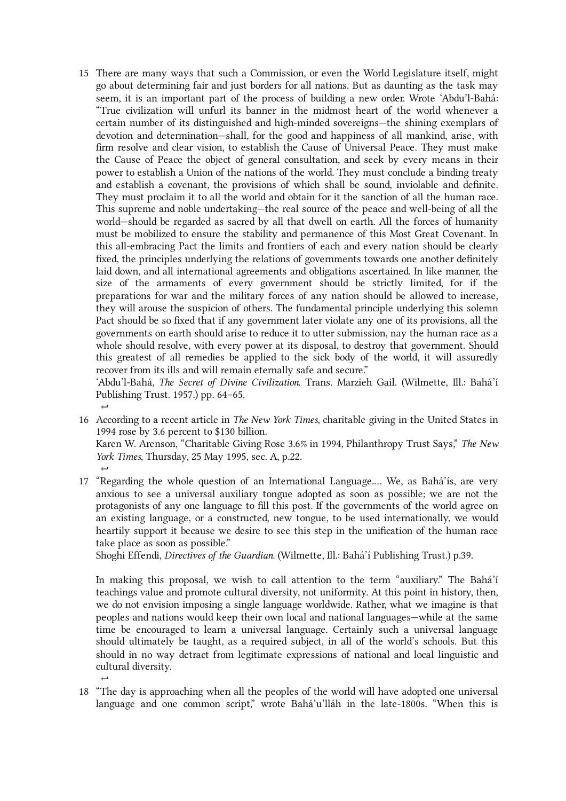<span id="page-19-0"></span>There are many ways that such a Commission, or even the World Legislature itself, might 15 go about determining fair and just borders for all nations. But as daunting as the task may seem, it is an important part of the process of building a new order. Wrote 'Abdu'l-Bahá: "True civilization will unfurl its banner in the midmost heart of the world whenever a certain number of its distinguished and high-minded sovereigns—the shining exemplars of devotion and determination—shall, for the good and happiness of all mankind, arise, with firm resolve and clear vision, to establish the Cause of Universal Peace. They must make the Cause of Peace the object of general consultation, and seek by every means in their power to establish a Union of the nations of the world. They must conclude a binding treaty and establish a covenant, the provisions of which shall be sound, inviolable and definite. They must proclaim it to all the world and obtain for it the sanction of all the human race. This supreme and noble undertaking—the real source of the peace and well-being of all the world—should be regarded as sacred by all that dwell on earth. All the forces of humanity must be mobilized to ensure the stability and permanence of this Most Great Covenant. In this all-embracing Pact the limits and frontiers of each and every nation should be clearly fixed, the principles underlying the relations of governments towards one another definitely laid down, and all international agreements and obligations ascertained. In like manner, the size of the armaments of every government should be strictly limited, for if the preparations for war and the military forces of any nation should be allowed to increase, they will arouse the suspicion of others. The fundamental principle underlying this solemn Pact should be so fixed that if any government later violate any one of its provisions, all the governments on earth should arise to reduce it to utter submission, nay the human race as a whole should resolve, with every power at its disposal, to destroy that government. Should this greatest of all remedies be applied to the sick body of the world, it will assuredly recover from its ills and will remain eternally safe and secure."

 $\rightarrow$ 'Abdu'l-Bahá, The Secret of Divine Civilization. Trans. Marzieh Gail. (Wilmette, Ill.: Bahá'í Publishing Trust. 1957.) pp. 64–65.

<span id="page-19-1"></span>16 According to a recent article in *The New York Times*, charitable giving in the United States in 1994 rose by 3.6 percent to \$130 billion.

<span id="page-19-2"></span> $\rightarrow$ 

<span id="page-19-3"></span> $\rightarrow$ 

Karen W. Arenson, "Charitable Giving Rose 3.6% in 1994, Philanthropy Trust Says," The New York Times, Thursday, 25 May 1995, sec. A, p.22.

17 "Regarding the whole question of an International Language.... We, as Bahá'ís, are very anxious to see a universal auxiliary tongue adopted as soon as possible; we are not the protagonists of any one language to fill this post. If the governments of the world agree on an existing language, or a constructed, new tongue, to be used internationally, we would heartily support it because we desire to see this step in the unification of the human race take place as soon as possible."

Shoghi Effendi, Directives of the Guardian. (Wilmette, Ill.: Bahá'í Publishing Trust.) p.39.

In making this proposal, we wish to call attention to the term "auxiliary." The Bahá'í teachings value and promote cultural diversity, not uniformity. At this point in history, then, we do not envision imposing a single language worldwide. Rather, what we imagine is that peoples and nations would keep their own local and national languages—while at the same time be encouraged to learn a universal language. Certainly such a universal language should ultimately be taught, as a required subject, in all of the world's schools. But this should in no way detract from legitimate expressions of national and local linguistic and cultural diversity.

"The day is approaching when all the peoples of the world will have adopted one universal 18language and one common script," wrote Bahá'u'lláh in the late-1800s. "When this is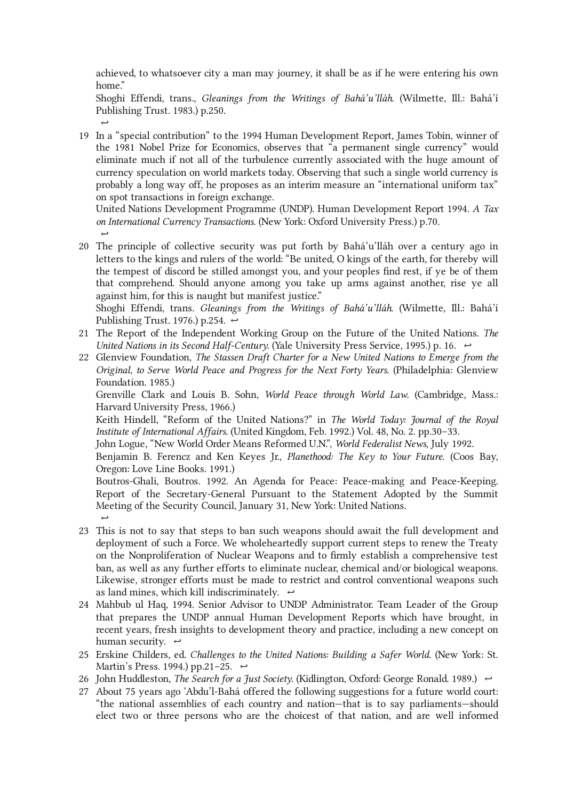achieved, to whatsoever city a man may journey, it shall be as if he were entering his own home."

 $\rightarrow$ Shoghi Effendi, trans., Gleanings from the Writings of Bahá'u'lláh. (Wilmette, Ill.: Bahá'í Publishing Trust. 1983.) p.250.

<span id="page-20-0"></span>19 In a "special contribution" to the 1994 Human Development Report, James Tobin, winner of the 1981 Nobel Prize for Economics, observes that "a permanent single currency" would eliminate much if not all of the turbulence currently associated with the huge amount of currency speculation on world markets today. Observing that such a single world currency is probably a long way off, he proposes as an interim measure an "international uniform tax" on spot transactions in foreign exchange.

 $\rightarrow$ United Nations Development Programme (UNDP). Human Development Report 1994. A Tax on International Currency Transactions. (New York: Oxford University Press.) p.70.

<span id="page-20-1"></span>The principle of collective security was put forth by Bahá'u'lláh over a century ago in 20 letters to the kings and rulers of the world: "Be united, O kings of the earth, for thereby will the tempest of discord be stilled amongst you, and your peoples find rest, if ye be of them that comprehend. Should anyone among you take up arms against another, rise ye all against him, for this is naught but manifest justice."

Shoghi Effendi, trans. Gleanings from the Writings of Bahá'u'lláh. (Wilmette, Ill.: Bahá'í Publishing Trust. 1976.) p.254.  $\leftrightarrow$ 

- <span id="page-20-2"></span>21 The Report of the Independent Working Group on the Future of the United Nations. The United Nations in its Second Half-Century. (Yale University Press Service, 1995.) p. 16.  $\leftrightarrow$
- <span id="page-20-3"></span>Glenview Foundation, The Stassen Draft Charter for a New United Nations to Emerge from the 22 Original, to Serve World Peace and Progress for the Next Forty Years. (Philadelphia: Glenview Foundation. 1985.)

Grenville Clark and Louis B. Sohn, World Peace through World Law. (Cambridge, Mass.: Harvard University Press, 1966.)

Keith Hindell, "Reform of the United Nations?" in The World Today: Journal of the Royal Institute of International Affairs. (United Kingdom, Feb. 1992.) Vol. 48, No. 2. pp.30–33.

John Logue, "New World Order Means Reformed U.N.", World Federalist News, July 1992.

Benjamin B. Ferencz and Ken Keyes Jr., Planethood: The Key to Your Future. (Coos Bay, Oregon: Love Line Books. 1991.)

 $\rightarrow$ Boutros-Ghali, Boutros. 1992. An Agenda for Peace: Peace-making and Peace-Keeping. Report of the Secretary-General Pursuant to the Statement Adopted by the Summit Meeting of the Security Council, January 31, New York: United Nations.

- <span id="page-20-4"></span>This is not to say that steps to ban such weapons should await the full development and 23 deployment of such a Force. We wholeheartedly support current steps to renew the Treaty on the Nonproliferation of Nuclear Weapons and to firmly establish a comprehensive test ban, as well as any further efforts to eliminate nuclear, chemical and/or biological weapons. Likewise, stronger efforts must be made to restrict and control conventional weapons such as land mines, which kill indiscriminately.  $\leftrightarrow$
- <span id="page-20-5"></span>Mahbub ul Haq, 1994. Senior Advisor to UNDP Administrator. Team Leader of the Group 24 that prepares the UNDP annual Human Development Reports which have brought, in recent years, fresh insights to development theory and practice, including a new concept on human security.  $\leftrightarrow$
- <span id="page-20-6"></span>25 Erskine Childers, ed. Challenges to the United Nations: Building a Safer World. (New York: St. Martin's Press. 1994.) pp.21–25.  $\leftrightarrow$
- <span id="page-20-7"></span>26 John Huddleston, *The Search for a Just Society*. (Kidlington, Oxford: George Ronald. 1989.)  $\leftrightarrow$
- <span id="page-20-8"></span>27 About 75 years ago 'Abdu'l-Bahá offered the following suggestions for a future world court: "the national assemblies of each country and nation—that is to say parliaments—should elect two or three persons who are the choicest of that nation, and are well informed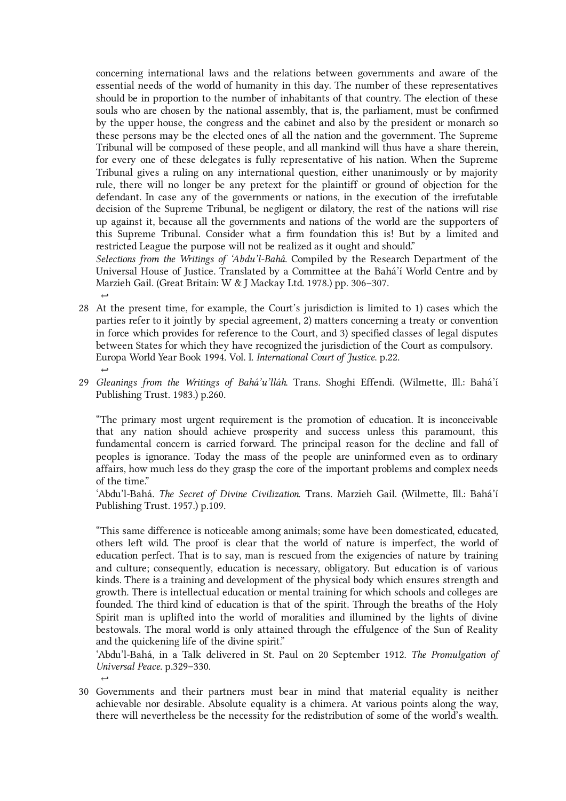concerning international laws and the relations between governments and aware of the essential needs of the world of humanity in this day. The number of these representatives should be in proportion to the number of inhabitants of that country. The election of these souls who are chosen by the national assembly, that is, the parliament, must be confirmed by the upper house, the congress and the cabinet and also by the president or monarch so these persons may be the elected ones of all the nation and the government. The Supreme Tribunal will be composed of these people, and all mankind will thus have a share therein, for every one of these delegates is fully representative of his nation. When the Supreme Tribunal gives a ruling on any international question, either unanimously or by majority rule, there will no longer be any pretext for the plaintiff or ground of objection for the defendant. In case any of the governments or nations, in the execution of the irrefutable decision of the Supreme Tribunal, be negligent or dilatory, the rest of the nations will rise up against it, because all the governments and nations of the world are the supporters of this Supreme Tribunal. Consider what a firm foundation this is! But by a limited and restricted League the purpose will not be realized as it ought and should."

Selections from the Writings of 'Abdu'l-Bahá. Compiled by the Research Department of the Universal House of Justice. Translated by a Committee at the Bahá'í World Centre and by Marzieh Gail. (Great Britain: W & J Mackay Ltd. 1978.) pp. 306–307.

- <span id="page-21-0"></span> $\rightarrow$  $\rightarrow$ At the present time, for example, the Court's jurisdiction is limited to 1) cases which the 28 parties refer to it jointly by special agreement, 2) matters concerning a treaty or convention in force which provides for reference to the Court, and 3) specified classes of legal disputes between States for which they have recognized the jurisdiction of the Court as compulsory. Europa World Year Book 1994. Vol. I. International Court of Justice. p.22.
- <span id="page-21-1"></span>29 *Gleanings from the Writings of Bahá'u'lláh*. Trans. Shoghi Effendi. (Wilmette, Ill.: Bahá'í Publishing Trust. 1983.) p.260.

"The primary most urgent requirement is the promotion of education. It is inconceivable that any nation should achieve prosperity and success unless this paramount, this fundamental concern is carried forward. The principal reason for the decline and fall of peoples is ignorance. Today the mass of the people are uninformed even as to ordinary affairs, how much less do they grasp the core of the important problems and complex needs of the time."

'Abdu'l-Bahá. The Secret of Divine Civilization. Trans. Marzieh Gail. (Wilmette, Ill.: Bahá'í Publishing Trust. 1957.) p.109.

"This same difference is noticeable among animals; some have been domesticated, educated, others left wild. The proof is clear that the world of nature is imperfect, the world of education perfect. That is to say, man is rescued from the exigencies of nature by training and culture; consequently, education is necessary, obligatory. But education is of various kinds. There is a training and development of the physical body which ensures strength and growth. There is intellectual education or mental training for which schools and colleges are founded. The third kind of education is that of the spirit. Through the breaths of the Holy Spirit man is uplifted into the world of moralities and illumined by the lights of divine bestowals. The moral world is only attained through the effulgence of the Sun of Reality and the quickening life of the divine spirit."

'Abdu'l‑Bahá, in a Talk delivered in St. Paul on 20 September 1912. The Promulgation of Universal Peace. p.329–330.

Governments and their partners must bear in mind that material equality is neither 30achievable nor desirable. Absolute equality is a chimera. At various points along the way, there will nevertheless be the necessity for the redistribution of some of the world's wealth.

<span id="page-21-2"></span> $\rightarrow$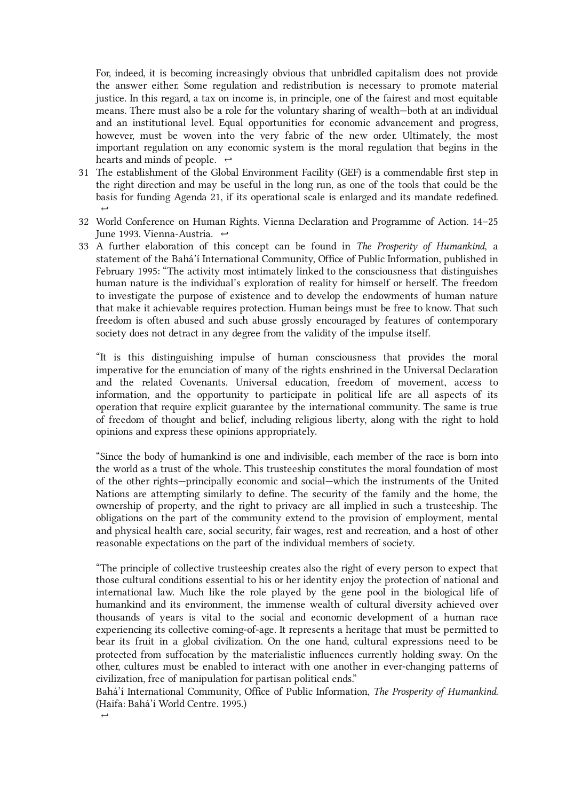For, indeed, it is becoming increasingly obvious that unbridled capitalism does not provide the answer either. Some regulation and redistribution is necessary to promote material justice. In this regard, a tax on income is, in principle, one of the fairest and most equitable means. There must also be a role for the voluntary sharing of wealth—both at an individual and an institutional level. Equal opportunities for economic advancement and progress, however, must be woven into the very fabric of the new order. Ultimately, the most important regulation on any economic system is the moral regulation that begins in the hearts and minds of people.  $\leftrightarrow$ 

- <span id="page-22-0"></span>The establishment of the Global Environment Facility (GEF) is a commendable first step in 31 the right direction and may be useful in the long run, as one of the tools that could be the basis for funding Agenda 21, if its operational scale is enlarged and its mandate redefined.  $\rightarrow$
- <span id="page-22-1"></span>World Conference on Human Rights. Vienna Declaration and Programme of Action. 14–25 32 June 1993. Vienna-Austria. ↔
- <span id="page-22-2"></span>33 A further elaboration of this concept can be found in The Prosperity of Humankind, a statement of the Bahá'í International Community, Office of Public Information, published in February 1995: "The activity most intimately linked to the consciousness that distinguishes human nature is the individual's exploration of reality for himself or herself. The freedom to investigate the purpose of existence and to develop the endowments of human nature that make it achievable requires protection. Human beings must be free to know. That such freedom is often abused and such abuse grossly encouraged by features of contemporary society does not detract in any degree from the validity of the impulse itself.

"It is this distinguishing impulse of human consciousness that provides the moral imperative for the enunciation of many of the rights enshrined in the Universal Declaration and the related Covenants. Universal education, freedom of movement, access to information, and the opportunity to participate in political life are all aspects of its operation that require explicit guarantee by the international community. The same is true of freedom of thought and belief, including religious liberty, along with the right to hold opinions and express these opinions appropriately.

"Since the body of humankind is one and indivisible, each member of the race is born into the world as a trust of the whole. This trusteeship constitutes the moral foundation of most of the other rights—principally economic and social—which the instruments of the United Nations are attempting similarly to define. The security of the family and the home, the ownership of property, and the right to privacy are all implied in such a trusteeship. The obligations on the part of the community extend to the provision of employment, mental and physical health care, social security, fair wages, rest and recreation, and a host of other reasonable expectations on the part of the individual members of society.

"The principle of collective trusteeship creates also the right of every person to expect that those cultural conditions essential to his or her identity enjoy the protection of national and international law. Much like the role played by the gene pool in the biological life of humankind and its environment, the immense wealth of cultural diversity achieved over thousands of years is vital to the social and economic development of a human race experiencing its collective coming-of-age. It represents a heritage that must be permitted to bear its fruit in a global civilization. On the one hand, cultural expressions need to be protected from suffocation by the materialistic influences currently holding sway. On the other, cultures must be enabled to interact with one another in ever-changing patterns of civilization, free of manipulation for partisan political ends."

Bahá'í International Community, Office of Public Information, The Prosperity of Humankind. (Haifa: Bahá'í World Centre. 1995.)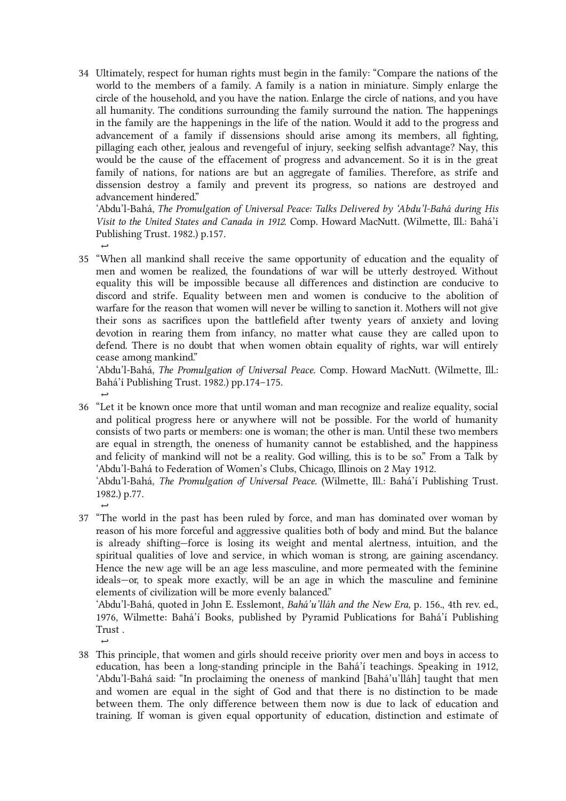<span id="page-23-0"></span>Ultimately, respect for human rights must begin in the family: "Compare the nations of the 34 world to the members of a family. A family is a nation in miniature. Simply enlarge the circle of the household, and you have the nation. Enlarge the circle of nations, and you have all humanity. The conditions surrounding the family surround the nation. The happenings in the family are the happenings in the life of the nation. Would it add to the progress and advancement of a family if dissensions should arise among its members, all fighting, pillaging each other, jealous and revengeful of injury, seeking selfish advantage? Nay, this would be the cause of the effacement of progress and advancement. So it is in the great family of nations, for nations are but an aggregate of families. Therefore, as strife and dissension destroy a family and prevent its progress, so nations are destroyed and advancement hindered."

'Abdu'l‑Bahá, The Promulgation of Universal Peace: Talks Delivered by 'Abdu'l‑Bahá during His Visit to the United States and Canada in 1912. Comp. Howard MacNutt. (Wilmette, Ill.: Bahá'í Publishing Trust. 1982.) p.157.

<span id="page-23-1"></span> $\rightarrow$ 

<span id="page-23-4"></span> $\rightarrow$ 

35 "When all mankind shall receive the same opportunity of education and the equality of men and women be realized, the foundations of war will be utterly destroyed. Without equality this will be impossible because all differences and distinction are conducive to discord and strife. Equality between men and women is conducive to the abolition of warfare for the reason that women will never be willing to sanction it. Mothers will not give their sons as sacrifices upon the battlefield after twenty years of anxiety and loving devotion in rearing them from infancy, no matter what cause they are called upon to defend. There is no doubt that when women obtain equality of rights, war will entirely cease among mankind."

'Abdu'l‑Bahá, The Promulgation of Universal Peace. Comp. Howard MacNutt. (Wilmette, Ill.: Bahá'í Publishing Trust. 1982.) pp.174–175.

<span id="page-23-2"></span> $\rightarrow$ "Let it be known once more that until woman and man recognize and realize equality, social 36 and political progress here or anywhere will not be possible. For the world of humanity consists of two parts or members: one is woman; the other is man. Until these two members are equal in strength, the oneness of humanity cannot be established, and the happiness and felicity of mankind will not be a reality. God willing, this is to be so." From a Talk by 'Abdu'l‑Bahá to Federation of Women's Clubs, Chicago, Illinois on 2 May 1912.

 $\rightarrow$ 'Abdu'l-Bahá, The Promulgation of Universal Peace. (Wilmette, Ill.: Bahá'í Publishing Trust. 1982.) p.77.

<span id="page-23-3"></span>"The world in the past has been ruled by force, and man has dominated over woman by 37 reason of his more forceful and aggressive qualities both of body and mind. But the balance is already shifting—force is losing its weight and mental alertness, intuition, and the spiritual qualities of love and service, in which woman is strong, are gaining ascendancy. Hence the new age will be an age less masculine, and more permeated with the feminine ideals—or, to speak more exactly, will be an age in which the masculine and feminine elements of civilization will be more evenly balanced."

'Abdu'l-Bahá, quoted in John E. Esslemont, Bahá'u'lláh and the New Era, p. 156., 4th rev. ed., 1976, Wilmette: Bahá'í Books, published by Pyramid Publications for Bahá'í Publishing Trust .

This principle, that women and girls should receive priority over men and boys in access to 38education, has been a long-standing principle in the Bahá'í teachings. Speaking in 1912, 'Abdu'l‑Bahá said: "In proclaiming the oneness of mankind [Bahá'u'lláh] taught that men and women are equal in the sight of God and that there is no distinction to be made between them. The only difference between them now is due to lack of education and training. If woman is given equal opportunity of education, distinction and estimate of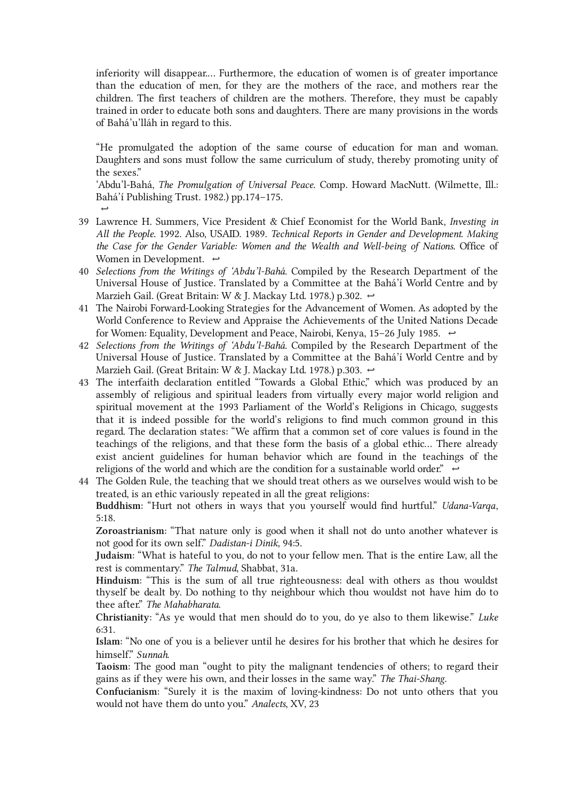inferiority will disappear.… Furthermore, the education of women is of greater importance than the education of men, for they are the mothers of the race, and mothers rear the children. The first teachers of children are the mothers. Therefore, they must be capably trained in order to educate both sons and daughters. There are many provisions in the words of Bahá'u'lláh in regard to this.

"He promulgated the adoption of the same course of education for man and woman. Daughters and sons must follow the same curriculum of study, thereby promoting unity of the sexes."

'Abdu'l-Bahá, The Promulgation of Universal Peace. Comp. Howard MacNutt. (Wilmette, Ill.: Bahá'í Publishing Trust. 1982.) pp.174–175.

39 Lawrence H. Summers, Vice President & Chief Economist for the World Bank, *Investing in* All the People. 1992. Also, USAID. 1989. Technical Reports in Gender and Development. Making the Case for the Gender Variable: Women and the Wealth and Well-being of Nations. Office of Women in Development.  $\leftrightarrow$ 

<span id="page-24-0"></span> $\rightarrow$ 

- <span id="page-24-1"></span>40 Selections from the Writings of 'Abdu'l-Bahá. Compiled by the Research Department of the Universal House of Justice. Translated by a Committee at the Bahá'í World Centre and by Marzieh Gail. (Great Britain: W & J. Mackay Ltd. 1978.) p.302. [↩](#page-13-1)
- <span id="page-24-2"></span>The Nairobi Forward-Looking Strategies for the Advancement of Women. As adopted by the 41 World Conference to Review and Appraise the Achievements of the United Nations Decade for Women: Equality, Development and Peace, Nairobi, Kenya, 15–26 July 1985.  $\leftrightarrow$
- <span id="page-24-3"></span>42 Selections from the Writings of 'Abdu'l-Bahá. Compiled by the Research Department of the Universal House of Justice. Translated by a Committee at the Bahá'í World Centre and by Marzieh Gail. (Great Britain: W & J. Mackay Ltd. 1978.) p.303. [↩](#page-13-3)
- <span id="page-24-4"></span>The interfaith declaration entitled "Towards a Global Ethic," which was produced by an 43 assembly of religious and spiritual leaders from virtually every major world religion and spiritual movement at the 1993 Parliament of the World's Religions in Chicago, suggests that it is indeed possible for the world's religions to find much common ground in this regard. The declaration states: "We affirm that a common set of core values is found in the teachings of the religions, and that these form the basis of a global ethic… There already exist ancient guidelines for human behavior which are found in the teachings of the religions of the world and which are the condition for a sustainable world order."  $\leftrightarrow$
- <span id="page-24-5"></span>The Golden Rule, the teaching that we should treat others as we ourselves would wish to be 44treated, is an ethic variously repeated in all the great religions: Buddhism: "Hurt not others in ways that you yourself would find hurtful." Udana-Varqa, 5:18.

Zoroastrianism: "That nature only is good when it shall not do unto another whatever is not good for its own self." Dadistan-i Dinik, 94:5.

Judaism: "What is hateful to you, do not to your fellow men. That is the entire Law, all the rest is commentary." The Talmud, Shabbat, 31a.

Hinduism: "This is the sum of all true righteousness: deal with others as thou wouldst thyself be dealt by. Do nothing to thy neighbour which thou wouldst not have him do to thee after." The Mahabharata.

Christianity: "As ye would that men should do to you, do ye also to them likewise." Luke 6:31.

Islam: "No one of you is a believer until he desires for his brother that which he desires for himself." Sunnah.

Taoism: The good man "ought to pity the malignant tendencies of others; to regard their gains as if they were his own, and their losses in the same way." The Thai-Shang.

Confucianism: "Surely it is the maxim of loving-kindness: Do not unto others that you would not have them do unto you." Analects, XV, 23